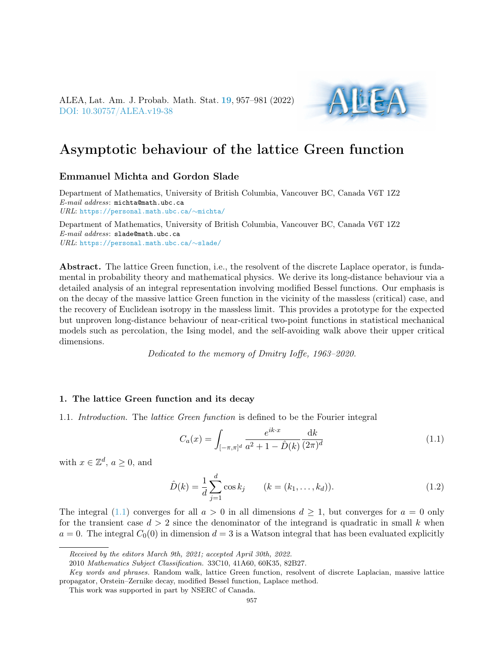

# Asymptotic behaviour of the lattice Green function

# Emmanuel Michta and Gordon Slade

Department of Mathematics, University of British Columbia, Vancouver BC, Canada V6T 1Z2 E-mail address: michta@math.ubc.ca URL: [https://personal.math.ubc.ca/](https://personal.math.ubc.ca/~michta/)∼michta/

Department of Mathematics, University of British Columbia, Vancouver BC, Canada V6T 1Z2 E-mail address: slade@math.ubc.ca URL: [https://personal.math.ubc.ca/](https://personal.math.ubc.ca/~slade/)∼slade/

Abstract. The lattice Green function, i.e., the resolvent of the discrete Laplace operator, is fundamental in probability theory and mathematical physics. We derive its long-distance behaviour via a detailed analysis of an integral representation involving modified Bessel functions. Our emphasis is on the decay of the massive lattice Green function in the vicinity of the massless (critical) case, and the recovery of Euclidean isotropy in the massless limit. This provides a prototype for the expected but unproven long-distance behaviour of near-critical two-point functions in statistical mechanical models such as percolation, the Ising model, and the self-avoiding walk above their upper critical dimensions.

Dedicated to the memory of Dmitry Ioffe, 1963–2020.

## 1. The lattice Green function and its decay

<span id="page-0-1"></span>1.1. Introduction. The lattice Green function is defined to be the Fourier integral

<span id="page-0-0"></span>
$$
C_a(x) = \int_{[-\pi,\pi]^d} \frac{e^{ik \cdot x}}{a^2 + 1 - \hat{D}(k)} \frac{\mathrm{d}k}{(2\pi)^d} \tag{1.1}
$$

with  $x \in \mathbb{Z}^d$ ,  $a \geq 0$ , and

$$
\hat{D}(k) = \frac{1}{d} \sum_{j=1}^{d} \cos k_j \qquad (k = (k_1, \dots, k_d)).
$$
\n(1.2)

The integral [\(1.1\)](#page-0-0) converges for all  $a > 0$  in all dimensions  $d \ge 1$ , but converges for  $a = 0$  only for the transient case  $d > 2$  since the denominator of the integrand is quadratic in small k when  $a = 0$ . The integral  $C_0(0)$  in dimension  $d = 3$  is a Watson integral that has been evaluated explicitly

Received by the editors March 9th, 2021; accepted April 30th, 2022.

<sup>2010</sup> Mathematics Subject Classification. 33C10, 41A60, 60K35, 82B27.

Key words and phrases. Random walk, lattice Green function, resolvent of discrete Laplacian, massive lattice propagator, Orstein–Zernike decay, modified Bessel function, Laplace method.

This work was supported in part by NSERC of Canada.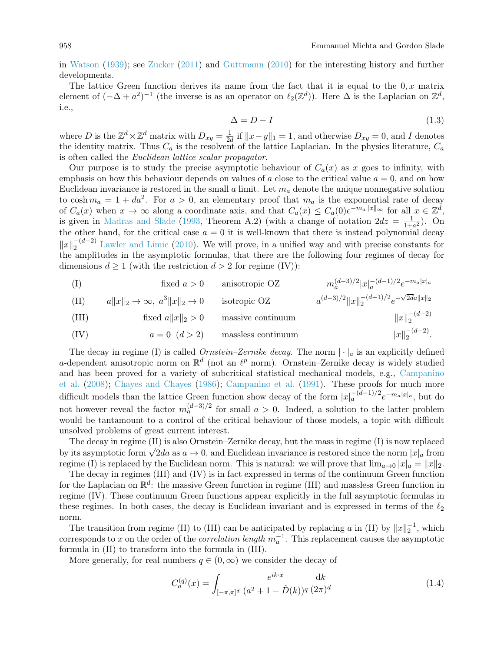in [Watson](#page-24-0) [\(1939\)](#page-24-0); see [Zucker](#page-24-1) [\(2011\)](#page-24-1) and [Guttmann](#page-23-0) [\(2010\)](#page-23-0) for the interesting history and further developments.

The lattice Green function derives its name from the fact that it is equal to the  $0, x$  matrix element of  $(-\Delta + a^2)^{-1}$  (the inverse is as an operator on  $\ell_2(\mathbb{Z}^d)$ ). Here  $\Delta$  is the Laplacian on  $\mathbb{Z}^d$ , i.e.,

<span id="page-1-0"></span>
$$
\Delta = D - I \tag{1.3}
$$

where D is the  $\mathbb{Z}^d \times \mathbb{Z}^d$  matrix with  $D_{xy} = \frac{1}{2d}$  $\frac{1}{2d}$  if  $||x-y||_1 = 1$ , and otherwise  $D_{xy} = 0$ , and I denotes the identity matrix. Thus  $C_a$  is the resolvent of the lattice Laplacian. In the physics literature,  $C_a$ is often called the Euclidean lattice scalar propagator.

Our purpose is to study the precise asymptotic behaviour of  $C_a(x)$  as x goes to infinity, with emphasis on how this behaviour depends on values of a close to the critical value  $a = 0$ , and on how Euclidean invariance is restored in the small  $a$  limit. Let  $m_a$  denote the unique nonnegative solution to cosh  $m_a = 1 + da^2$ . For  $a > 0$ , an elementary proof that  $m_a$  is the exponential rate of decay of  $C_a(x)$  when  $x \to \infty$  along a coordinate axis, and that  $C_a(x) \leq C_a(0)e^{-m_a||x||_\infty}$  for all  $x \in \mathbb{Z}^d$ , is given in [Madras and Slade](#page-23-1) [\(1993,](#page-23-1) Theorem A.2) (with a change of notation  $2dz = \frac{1}{1+z}$  $\frac{1}{1+a^2}$ ). On the other hand, for the critical case  $a = 0$  it is well-known that there is instead polynomial decay  $||x||_2^{-(d-2)}$  [Lawler and Limic](#page-23-2) [\(2010\)](#page-23-2). We will prove, in a unified way and with precise constants for the amplitudes in the asymptotic formulas, that there are the following four regimes of decay for dimensions  $d \geq 1$  (with the restriction  $d > 2$  for regime (IV)):

(I)

\nfixed 
$$
a > 0
$$
 anisotropic OZ

\n(II)

\n $a\|x\|_2 \to \infty$ ,  $a^3\|x\|_2 \to 0$  isotropic OZ

\n(III)

\nfixed  $a\|x\|_2 > 0$  isotropic OZ

\nmassive continuum

\n(IV)

\n $a = 0$  ( $d > 2$ ) massless continuum

\n $\|x\|_2^{-(d-2)}$ .

\nAns: (a)  $a^2\|x\|_2 \to 0$  (b)  $a = 0$  (d)  $a > 2$  (d)  $a = 0$  (e)  $a > 2$  (f)  $a > 0$  (g)  $a > 0$  (h)  $a > 0$  (i)  $a > 0$  (j)  $a > 0$  (k)  $a > 0$  (l)  $a > 0$  (l)  $a > 0$  (l)  $a > 0$  (l)  $a > 0$  (l)  $a > 0$  (l)  $a > 0$  (l)  $a > 0$  (l)  $a > 0$  (l)  $a > 0$  (l)  $a > 0$  (l)  $a > 0$  (l)  $a > 0$  (l)  $a > 0$  (l)  $a > 0$  (l)  $a > 0$  (l)  $a > 0$  (l)  $a > 0$  (l)  $a > 0$  (l)  $a > 0$  (l)  $a > 0$  (l)  $a > 0$  (l)  $a > 0$  (l)  $a > 0$  (l)  $a > 0$  (l)  $a > 0$  (l)  $a > 0$  (l)  $a > 0$  (l)  $a > 0$  (l)  $a > 0$  (l)  $a > 0$ 

The decay in regime (I) is called *Ornstein–Zernike decay*. The norm  $|\cdot|_a$  is an explicitly defined a-dependent anisotropic norm on  $\mathbb{R}^d$  (not an  $\ell^p$  norm). Ornstein–Zernike decay is widely studied and has been proved for a variety of subcritical statistical mechanical models, e.g., [Campanino](#page-22-0) [et al.](#page-22-0) [\(2008\)](#page-22-0); [Chayes and Chayes](#page-22-1) [\(1986\)](#page-22-1); [Campanino et al.](#page-22-2) [\(1991\)](#page-22-2). These proofs for much more difficult models than the lattice Green function show decay of the form  $|x|_a^{-(d-1)/2}e^{-m_a|x|_a}$ , but do not however reveal the factor  $m_a^{(d-3)/2}$  for small  $a > 0$ . Indeed, a solution to the latter problem would be tantamount to a control of the critical behaviour of those models, a topic with difficult unsolved problems of great current interest.

The decay in regime (II) is also Ornstein–Zernike decay, but the mass in regime (I) is now replaced The decay in regime (11) is also Ornstein–Zernike decay, but the mass in regime (1) is now replaced<br>by its asymptotic form  $\sqrt{2da}$  as  $a \to 0$ , and Euclidean invariance is restored since the norm  $|x|_a$  from regime (I) is replaced by the Euclidean norm. This is natural: we will prove that  $\lim_{a\to 0} |x|_a = ||x||_2$ .

The decay in regimes (III) and (IV) is in fact expressed in terms of the continuum Green function for the Laplacian on  $\mathbb{R}^d$ : the massive Green function in regime (III) and massless Green function in regime (IV). These continuum Green functions appear explicitly in the full asymptotic formulas in these regimes. In both cases, the decay is Euclidean invariant and is expressed in terms of the  $\ell_2$ norm.

The transition from regime (II) to (III) can be anticipated by replacing a in (II) by  $||x||_2^{-1}$ , which corresponds to x on the order of the *correlation length*  $m_a^{-1}$ . This replacement causes the asymptotic formula in (II) to transform into the formula in (III).

More generally, for real numbers  $q \in (0,\infty)$  we consider the decay of

<span id="page-1-1"></span>
$$
C_a^{(q)}(x) = \int_{[-\pi,\pi]^d} \frac{e^{ik \cdot x}}{(a^2 + 1 - \hat{D}(k))^q} \frac{\mathrm{d}k}{(2\pi)^d} \tag{1.4}
$$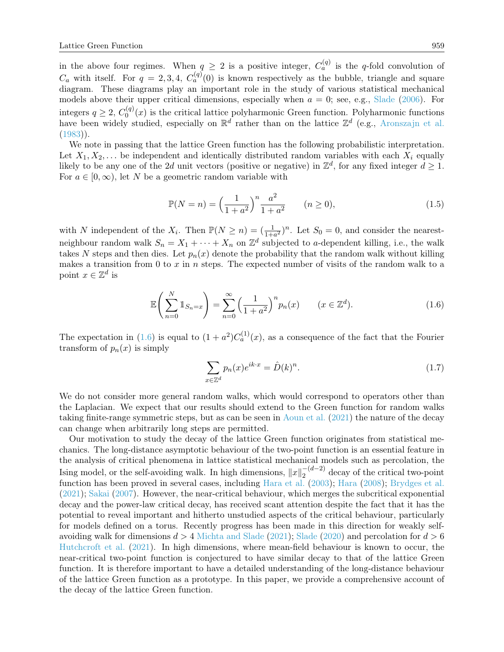in the above four regimes. When  $q \geq 2$  is a positive integer,  $C_q^{(q)}$  is the q-fold convolution of  $C_a$  with itself. For  $q = 2, 3, 4, C_a^{(q)}(0)$  is known respectively as the bubble, triangle and square diagram. These diagrams play an important role in the study of various statistical mechanical models above their upper critical dimensions, especially when  $a = 0$ ; see, e.g., [Slade](#page-23-3) [\(2006\)](#page-23-3). For integers  $q \geq 2$ ,  $C_0^{(q)}$  $\mathcal{O}_0^{(q)}(x)$  is the critical lattice polyharmonic Green function. Polyharmonic functions have been widely studied, especially on  $\mathbb{R}^d$  rather than on the lattice  $\mathbb{Z}^d$  (e.g., [Aronszajn et al.](#page-22-3)  $(1983)$ .

We note in passing that the lattice Green function has the following probabilistic interpretation. Let  $X_1, X_2, \ldots$  be independent and identically distributed random variables with each  $X_i$  equally likely to be any one of the 2d unit vectors (positive or negative) in  $\mathbb{Z}^d$ , for any fixed integer  $d \geq 1$ . For  $a \in [0, \infty)$ , let N be a geometric random variable with

$$
\mathbb{P}(N=n) = \left(\frac{1}{1+a^2}\right)^n \frac{a^2}{1+a^2} \qquad (n \ge 0),\tag{1.5}
$$

with N independent of the  $X_i$ . Then  $\mathbb{P}(N \geq n) = (\frac{1}{1+a^2})^n$ . Let  $S_0 = 0$ , and consider the nearestneighbour random walk  $S_n = X_1 + \cdots + X_n$  on  $\mathbb{Z}^d$  subjected to a-dependent killing, i.e., the walk takes N steps and then dies. Let  $p_n(x)$  denote the probability that the random walk without killing makes a transition from 0 to  $x$  in  $n$  steps. The expected number of visits of the random walk to a point  $x \in \mathbb{Z}^d$  is

$$
\mathbb{E}\left(\sum_{n=0}^{N} \mathbb{1}_{S_n=x}\right) = \sum_{n=0}^{\infty} \left(\frac{1}{1+a^2}\right)^n p_n(x) \qquad (x \in \mathbb{Z}^d). \tag{1.6}
$$

The expectation in [\(1.6\)](#page-2-0) is equal to  $(1 + a^2)C_a^{(1)}(x)$ , as a consequence of the fact that the Fourier transform of  $p_n(x)$  is simply

<span id="page-2-0"></span>
$$
\sum_{x \in \mathbb{Z}^d} p_n(x) e^{ik \cdot x} = \hat{D}(k)^n.
$$
\n(1.7)

We do not consider more general random walks, which would correspond to operators other than the Laplacian. We expect that our results should extend to the Green function for random walks taking finite-range symmetric steps, but as can be seen in [Aoun et al.](#page-22-4) [\(2021\)](#page-22-4) the nature of the decay can change when arbitrarily long steps are permitted.

Our motivation to study the decay of the lattice Green function originates from statistical mechanics. The long-distance asymptotic behaviour of the two-point function is an essential feature in the analysis of critical phenomena in lattice statistical mechanical models such as percolation, the Ising model, or the self-avoiding walk. In high dimensions,  $||x||_2^{-(d-2)}$  $2^{-(a-2)}$  decay of the critical two-point function has been proved in several cases, including [Hara et al.](#page-23-4) [\(2003\)](#page-23-4); [Hara](#page-23-5) [\(2008\)](#page-23-5); [Brydges et al.](#page-22-5) [\(2021\)](#page-22-5); [Sakai](#page-23-6) [\(2007\)](#page-23-6). However, the near-critical behaviour, which merges the subcritical exponential decay and the power-law critical decay, has received scant attention despite the fact that it has the potential to reveal important and hitherto unstudied aspects of the critical behaviour, particularly for models defined on a torus. Recently progress has been made in this direction for weakly selfavoiding walk for dimensions  $d > 4$  [Michta and Slade](#page-23-7) [\(2021\)](#page-23-7); [Slade](#page-23-8) [\(2020\)](#page-23-8) and percolation for  $d > 6$ [Hutchcroft et al.](#page-23-9) [\(2021\)](#page-23-9). In high dimensions, where mean-field behaviour is known to occur, the near-critical two-point function is conjectured to have similar decay to that of the lattice Green function. It is therefore important to have a detailed understanding of the long-distance behaviour of the lattice Green function as a prototype. In this paper, we provide a comprehensive account of the decay of the lattice Green function.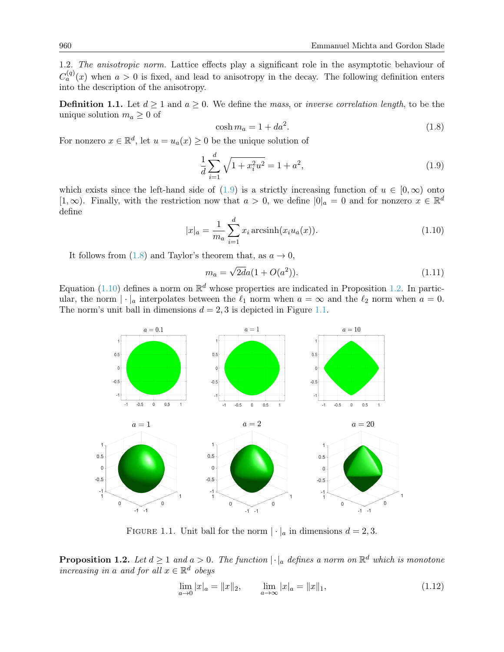1.2. The anisotropic norm. Lattice effects play a significant role in the asymptotic behaviour of  $C_a^{(q)}(x)$  when  $a > 0$  is fixed, and lead to anisotropy in the decay. The following definition enters into the description of the anisotropy.

<span id="page-3-6"></span>**Definition 1.1.** Let  $d \ge 1$  and  $a \ge 0$ . We define the mass, or inverse correlation length, to be the unique solution  $m_a \geq 0$  of

<span id="page-3-1"></span>
$$
\cosh m_a = 1 + da^2. \tag{1.8}
$$

For nonzero  $x \in \mathbb{R}^d$ , let  $u = u_a(x) \geq 0$  be the unique solution of

<span id="page-3-0"></span>
$$
\frac{1}{d} \sum_{i=1}^{d} \sqrt{1 + x_i^2 u^2} = 1 + a^2,\tag{1.9}
$$

which exists since the left-hand side of [\(1.9\)](#page-3-0) is a strictly increasing function of  $u \in [0,\infty)$  onto [1, ∞). Finally, with the restriction now that  $a > 0$ , we define  $|0|_a = 0$  and for nonzero  $x \in \mathbb{R}^d$ define

<span id="page-3-2"></span>
$$
|x|_a = \frac{1}{m_a} \sum_{i=1}^d x_i \operatorname{arcsinh}(x_i u_a(x)).
$$
\n(1.10)

It follows from  $(1.8)$  and Taylor's theorem that, as  $a \to 0$ ,

<span id="page-3-5"></span>
$$
m_a = \sqrt{2d}a(1 + O(a^2)).
$$
\n(1.11)

Equation [\(1.10\)](#page-3-2) defines a norm on  $\mathbb{R}^d$  whose properties are indicated in Proposition [1.2.](#page-3-3) In particular, the norm  $|\cdot|_a$  interpolates between the  $\ell_1$  norm when  $a = \infty$  and the  $\ell_2$  norm when  $a = 0$ . The norm's unit ball in dimensions  $d = 2, 3$  is depicted in Figure [1.1.](#page-3-4)



<span id="page-3-4"></span>FIGURE 1.1. Unit ball for the norm  $|\cdot|_a$  in dimensions  $d = 2, 3$ .

<span id="page-3-3"></span>**Proposition 1.2.** Let  $d \geq 1$  and  $a > 0$ . The function  $|\cdot|_a$  defines a norm on  $\mathbb{R}^d$  which is monotone increasing in a and for all  $x \in \mathbb{R}^d$  obeys

$$
\lim_{a \to 0} |x|_a = ||x||_2, \qquad \lim_{a \to \infty} |x|_a = ||x||_1,\tag{1.12}
$$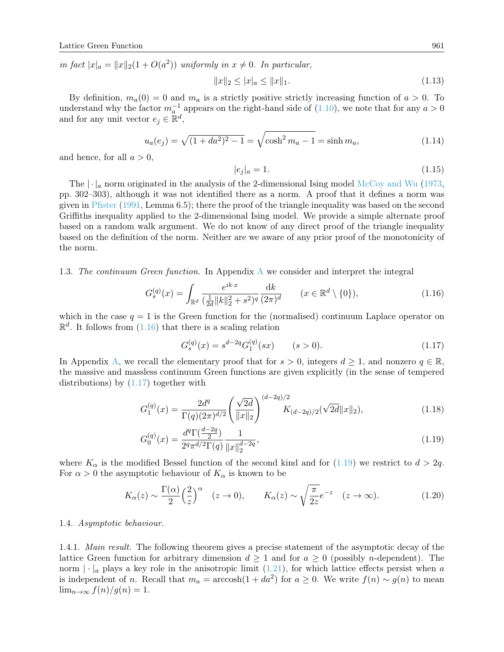in fact  $|x|_a = ||x||_2(1 + O(a^2))$  uniformly in  $x \neq 0$ . In particular,

<span id="page-4-4"></span>
$$
||x||_2 \le |x|_a \le ||x||_1. \tag{1.13}
$$

By definition,  $m_a(0) = 0$  and  $m_a$  is a strictly positive strictly increasing function of  $a > 0$ . To understand why the factor  $m_a^{-1}$  appears on the right-hand side of [\(1.10\)](#page-3-2), we note that for any  $a > 0$ and for any unit vector  $e_j \in \mathbb{R}^d$ ,

$$
u_a(e_j) = \sqrt{(1 + da^2)^2 - 1} = \sqrt{\cosh^2 m_a - 1} = \sinh m_a,
$$
\n(1.14)

and hence, for all  $a > 0$ ,

<span id="page-4-6"></span><span id="page-4-5"></span>
$$
|e_j|_a = 1.\t(1.15)
$$

The  $\lceil \cdot \rceil_a$  norm originated in the analysis of the 2-dimensional Ising model [McCoy and Wu](#page-23-10) [\(1973,](#page-23-10) pp. 302–303), although it was not identified there as a norm. A proof that it defines a norm was given in [Pfister](#page-23-11) [\(1991,](#page-23-11) Lemma 6.5); there the proof of the triangle inequality was based on the second Griffiths inequality applied to the 2-dimensional Ising model. We provide a simple alternate proof based on a random walk argument. We do not know of any direct proof of the triangle inequality based on the definition of the norm. Neither are we aware of any prior proof of the monotonicity of the norm.

1.3. The continuum Green function. In Appendix [A](#page-20-0) we consider and interpret the integral

<span id="page-4-0"></span>
$$
G_s^{(q)}(x) = \int_{\mathbb{R}^d} \frac{e^{ik \cdot x}}{(\frac{1}{2d} \|k\|_2^2 + s^2)^q} \frac{dk}{(2\pi)^d} \qquad (x \in \mathbb{R}^d \setminus \{0\}),
$$
\n(1.16)

which in the case  $q = 1$  is the Green function for the (normalised) continuum Laplace operator on  $\mathbb{R}^d$ . It follows from  $(1.16)$  that there is a scaling relation

<span id="page-4-7"></span><span id="page-4-3"></span><span id="page-4-2"></span><span id="page-4-1"></span>
$$
G_s^{(q)}(x) = s^{d-2q} G_1^{(q)}(sx) \qquad (s > 0). \tag{1.17}
$$

In Appendix [A,](#page-20-0) we recall the elementary proof that for  $s > 0$ , integers  $d \geq 1$ , and nonzero  $q \in \mathbb{R}$ . the massive and massless continuum Green functions are given explicitly (in the sense of tempered distributions) by [\(1.17\)](#page-4-1) together with

$$
G_1^{(q)}(x) = \frac{2d^q}{\Gamma(q)(2\pi)^{d/2}} \left(\frac{\sqrt{2d}}{\|x\|_2}\right)^{(d-2q)/2} K_{(d-2q)/2}(\sqrt{2d}\|x\|_2),\tag{1.18}
$$

$$
G_0^{(q)}(x) = \frac{d^q \Gamma(\frac{d-2q}{2})}{2^q \pi^{d/2} \Gamma(q)} \frac{1}{\|x\|_2^{d-2q}},\tag{1.19}
$$

where  $K_{\alpha}$  is the modified Bessel function of the second kind and for [\(1.19\)](#page-4-2) we restrict to  $d > 2q$ . For  $\alpha > 0$  the asymptotic behaviour of  $K_{\alpha}$  is known to be

$$
K_{\alpha}(z) \sim \frac{\Gamma(\alpha)}{2} \left(\frac{2}{z}\right)^{\alpha} \quad (z \to 0), \qquad K_{\alpha}(z) \sim \sqrt{\frac{\pi}{2z}} e^{-z} \quad (z \to \infty).
$$
 (1.20)

#### 1.4. Asymptotic behaviour.

1.4.1. Main result. The following theorem gives a precise statement of the asymptotic decay of the lattice Green function for arbitrary dimension  $d \geq 1$  and for  $a \geq 0$  (possibly *n*-dependent). The norm  $|\cdot|_a$  plays a key role in the anisotropic limit [\(1.21\)](#page-5-0), for which lattice effects persist when a is independent of n. Recall that  $m_a = \arccosh(1 + da^2)$  for  $a \ge 0$ . We write  $f(n) \sim g(n)$  to mean  $\lim_{n\to\infty} f(n)/g(n) = 1.$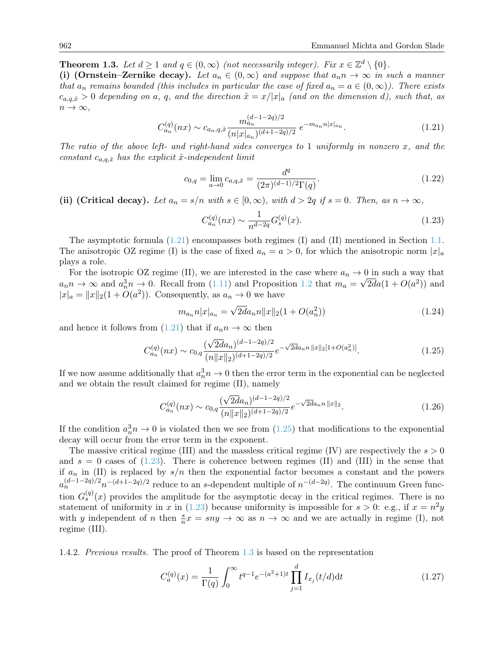<span id="page-5-3"></span>**Theorem 1.3.** Let  $d \geq 1$  and  $q \in (0, \infty)$  (not necessarily integer). Fix  $x \in \mathbb{Z}^d \setminus \{0\}$ .

(i) (Ornstein–Zernike decay). Let  $a_n \in (0,\infty)$  and suppose that  $a_n n \to \infty$  in such a manner that  $a_n$  remains bounded (this includes in particular the case of fixed  $a_n = a \in (0,\infty)$ ). There exists  $c_{a,q,\hat{x}}>0$  depending on a, q, and the direction  $\hat{x}=x/|x|_a$  (and on the dimension d), such that, as  $n \to \infty$ ,

<span id="page-5-0"></span>
$$
C_{a_n}^{(q)}(nx) \sim c_{a_n,q,\hat{x}} \frac{m_{a_n}^{(d-1-2q)/2}}{(n|x|_{a_n})^{(d+1-2q)/2}} e^{-m_{a_n}n|x|_{a_n}}.
$$
\n(1.21)

The ratio of the above left- and right-hand sides converges to 1 uniformly in nonzero  $x$ , and the constant  $c_{a,q,\hat{x}}$  has the explicit  $\hat{x}$ -independent limit

<span id="page-5-6"></span>
$$
c_{0,q} = \lim_{a \to 0} c_{a,q,\hat{x}} = \frac{d^q}{(2\pi)^{(d-1)/2} \Gamma(q)}.
$$
\n(1.22)

(ii) (Critical decay). Let  $a_n = s/n$  with  $s \in [0, \infty)$ , with  $d > 2q$  if  $s = 0$ . Then, as  $n \to \infty$ ,

<span id="page-5-2"></span>
$$
C_{a_n}^{(q)}(nx) \sim \frac{1}{n^{d-2q}} G_s^{(q)}(x). \tag{1.23}
$$

The asymptotic formula [\(1.21\)](#page-5-0) encompasses both regimes (I) and (II) mentioned in Section [1.1.](#page-0-1) The anisotropic OZ regime (I) is the case of fixed  $a_n = a > 0$ , for which the anisotropic norm  $|x|_a$ plays a role.

For the isotropic OZ regime (II), we are interested in the case where  $a_n \to 0$  in such a way that  $a_n n \to \infty$  and  $a_n^3 n \to 0$ . Recall from [\(1.11\)](#page-3-5) and Proposition [1.2](#page-3-3) that  $m_a = \sqrt{2d}a(1 + O(a^2))$  and  $|x|_a = ||x||_2(1 + O(a^2))$ . Consequently, as  $a_n \to 0$  we have

$$
m_{a_n} n|x|_{a_n} = \sqrt{2d} a_n n \|x\|_2 (1 + O(a_n^2))
$$
\n(1.24)

and hence it follows from  $(1.21)$  that if  $a_n n \to \infty$  then

<span id="page-5-1"></span>
$$
C_{a_n}^{(q)}(nx) \sim c_{0,q} \frac{(\sqrt{2d}a_n)^{(d-1-2q)/2}}{(n||x||_2)^{(d+1-2q)/2}} e^{-\sqrt{2d}a_n n ||x||_2 [1+O(a_n^2)]}.
$$
\n(1.25)

If we now assume additionally that  $a_n^3 n \to 0$  then the error term in the exponential can be neglected and we obtain the result claimed for regime (II), namely

<span id="page-5-4"></span>
$$
C_{a_n}^{(q)}(nx) \sim c_{0,q} \frac{(\sqrt{2d}a_n)^{(d-1-2q)/2}}{(n||x||_2)^{(d+1-2q)/2}} e^{-\sqrt{2d}a_n n ||x||_2}.
$$
\n(1.26)

If the condition  $a_n^3 n \to 0$  is violated then we see from  $(1.25)$  that modifications to the exponential decay will occur from the error term in the exponent.

The massive critical regime (III) and the massless critical regime (IV) are respectively the  $s > 0$ and  $s = 0$  cases of [\(1.23\)](#page-5-2). There is coherence between regimes (II) and (III) in the sense that if  $a_n$  in (II) is replaced by  $s/n$  then the exponential factor becomes a constant and the powers  $a_n^{(d-1-2q)/2}n^{-(d+1-2q)/2}$  reduce to an s-dependent multiple of  $n^{-(d-2q)}$ . The continuum Green function  $G_s^{(q)}(x)$  provides the amplitude for the asymptotic decay in the critical regimes. There is no statement of uniformity in x in [\(1.23\)](#page-5-2) because uniformity is impossible for  $s > 0$ : e.g., if  $x = n^2y$ with y independent of n then  $\frac{s}{n}x = sny \to \infty$  as  $n \to \infty$  and we are actually in regime (I), not regime (III).

1.4.2. Previous results. The proof of Theorem [1.3](#page-5-3) is based on the representation

<span id="page-5-5"></span>
$$
C_a^{(q)}(x) = \frac{1}{\Gamma(q)} \int_0^\infty t^{q-1} e^{-(a^2+1)t} \prod_{j=1}^d I_{x_j}(t/d) dt \tag{1.27}
$$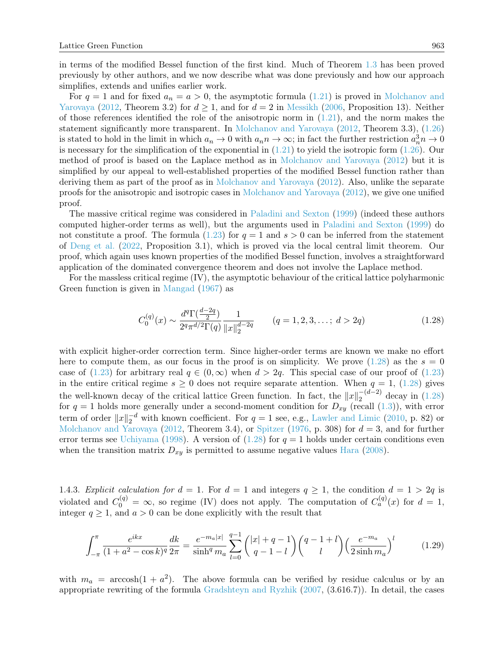in terms of the modified Bessel function of the first kind. Much of Theorem [1.3](#page-5-3) has been proved previously by other authors, and we now describe what was done previously and how our approach simplifies, extends and unifies earlier work.

For  $q = 1$  and for fixed  $a_n = a > 0$ , the asymptotic formula [\(1.21\)](#page-5-0) is proved in [Molchanov and](#page-23-12) [Yarovaya](#page-23-12) [\(2012,](#page-23-12) Theorem 3.2) for  $d \ge 1$ , and for  $d = 2$  in [Messikh](#page-23-13) [\(2006,](#page-23-13) Proposition 13). Neither of those references identified the role of the anisotropic norm in [\(1.21\)](#page-5-0), and the norm makes the statement significantly more transparent. In [Molchanov and Yarovaya](#page-23-12) [\(2012,](#page-23-12) Theorem 3.3), [\(1.26\)](#page-5-4) is stated to hold in the limit in which  $a_n \to 0$  with  $a_n n \to \infty$ ; in fact the further restriction  $a_n^3 n \to 0$ is necessary for the simplification of the exponential in  $(1.21)$  to yield the isotropic form  $(1.26)$ . Our method of proof is based on the Laplace method as in [Molchanov and Yarovaya](#page-23-12) [\(2012\)](#page-23-12) but it is simplified by our appeal to well-established properties of the modified Bessel function rather than deriving them as part of the proof as in [Molchanov and Yarovaya](#page-23-12) [\(2012\)](#page-23-12). Also, unlike the separate proofs for the anisotropic and isotropic cases in [Molchanov and Yarovaya](#page-23-12) [\(2012\)](#page-23-12), we give one unified proof.

The massive critical regime was considered in [Paladini and Sexton](#page-23-14) [\(1999\)](#page-23-14) (indeed these authors computed higher-order terms as well), but the arguments used in [Paladini and Sexton](#page-23-14) [\(1999\)](#page-23-14) do not constitute a proof. The formula [\(1.23\)](#page-5-2) for  $q = 1$  and  $s > 0$  can be inferred from the statement of [Deng et al.](#page-23-15) [\(2022,](#page-23-15) Proposition 3.1), which is proved via the local central limit theorem. Our proof, which again uses known properties of the modified Bessel function, involves a straightforward application of the dominated convergence theorem and does not involve the Laplace method.

For the massless critical regime (IV), the asymptotic behaviour of the critical lattice polyharmonic Green function is given in [Mangad](#page-23-16) [\(1967\)](#page-23-16) as

<span id="page-6-0"></span>
$$
C_0^{(q)}(x) \sim \frac{d^q \Gamma(\frac{d-2q}{2})}{2^q \pi^{d/2} \Gamma(q)} \frac{1}{\|x\|_2^{d-2q}} \qquad (q = 1, 2, 3, \dots; d > 2q)
$$
 (1.28)

with explicit higher-order correction term. Since higher-order terms are known we make no effort here to compute them, as our focus in the proof is on simplicity. We prove  $(1.28)$  as the  $s = 0$ case of [\(1.23\)](#page-5-2) for arbitrary real  $q \in (0,\infty)$  when  $d > 2q$ . This special case of our proof of (1.23) in the entire critical regime  $s \geq 0$  does not require separate attention. When  $q = 1$ , [\(1.28\)](#page-6-0) gives the well-known decay of the critical lattice Green function. In fact, the  $||x||_2^{-(d-2)}$  $_{2}^{-(a-2)}$  decay in  $(1.28)$ for  $q = 1$  holds more generally under a second-moment condition for  $D_{xy}$  (recall [\(1.3\)](#page-1-0)), with error term of order  $||x||_2^{-d}$  with known coefficient. For  $q = 1$  see, e.g., [Lawler and Limic](#page-23-2) [\(2010,](#page-23-2) p. 82) or [Molchanov and Yarovaya](#page-23-12) [\(2012,](#page-23-12) Theorem 3.4), or [Spitzer](#page-23-17) [\(1976,](#page-23-17) p. 308) for  $d = 3$ , and for further error terms see [Uchiyama](#page-23-18) [\(1998\)](#page-23-18). A version of [\(1.28\)](#page-6-0) for  $q = 1$  holds under certain conditions even when the transition matrix  $D_{xy}$  is permitted to assume negative values [Hara](#page-23-5) [\(2008\)](#page-23-5).

1.4.3. Explicit calculation for  $d = 1$ . For  $d = 1$  and integers  $q \ge 1$ , the condition  $d = 1 > 2q$  is violated and  $C_0^{(q)} = \infty$ , so regime (IV) does not apply. The computation of  $C_a^{(q)}(x)$  for  $d = 1$ , integer  $q \ge 1$ , and  $a > 0$  can be done explicitly with the result that

$$
\int_{-\pi}^{\pi} \frac{e^{ikx}}{(1+a^2-\cos k)^q} \frac{dk}{2\pi} = \frac{e^{-m_a|x|}}{\sinh^q m_a} \sum_{l=0}^{q-1} \binom{|x|+q-1}{q-1-l} \binom{q-1+l}{l} \left(\frac{e^{-m_a}}{2\sinh m_a}\right)^l \tag{1.29}
$$

with  $m_a = \arccosh(1 + a^2)$ . The above formula can be verified by residue calculus or by an appropriate rewriting of the formula [Gradshteyn and Ryzhik](#page-23-19) [\(2007,](#page-23-19) (3.616.7)). In detail, the cases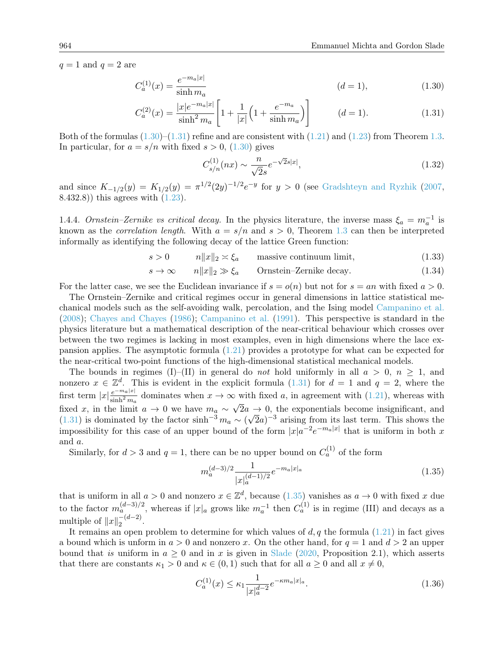$q = 1$  and  $q = 2$  are

$$
C_a^{(1)}(x) = \frac{e^{-m_a|x|}}{\sinh m_a}
$$
 (d = 1), (1.30)

$$
C_a^{(2)}(x) = \frac{|x|e^{-m_a|x|}}{\sinh^2 m_a} \left[ 1 + \frac{1}{|x|} \left( 1 + \frac{e^{-m_a}}{\sinh m_a} \right) \right] \qquad (d = 1).
$$
 (1.31)

Both of the formulas  $(1.30)$ – $(1.31)$  refine and are consistent with  $(1.21)$  and  $(1.23)$  from Theorem [1.3.](#page-5-3) In particular, for  $a = s/n$  with fixed  $s > 0$ , [\(1.30\)](#page-7-0) gives

<span id="page-7-1"></span><span id="page-7-0"></span>
$$
C_{s/n}^{(1)}(nx) \sim \frac{n}{\sqrt{2}s} e^{-\sqrt{2}s|x|},\tag{1.32}
$$

and since  $K_{-1/2}(y) = K_{1/2}(y) = \pi^{1/2}(2y)^{-1/2}e^{-y}$  for  $y > 0$  (see [Gradshteyn and Ryzhik](#page-23-19) [\(2007,](#page-23-19) 8.432.8)) this agrees with [\(1.23\)](#page-5-2).

1.4.4. Ornstein–Zernike vs critical decay. In the physics literature, the inverse mass  $\xi_a = m_a^{-1}$  is known as the *correlation length*. With  $a = s/n$  and  $s > 0$ , Theorem [1.3](#page-5-3) can then be interpreted informally as identifying the following decay of the lattice Green function:

$$
s > 0 \qquad \qquad n \|x\|_2 \asymp \xi_a \qquad \text{massive continuum limit}, \tag{1.33}
$$

$$
s \to \infty \qquad n||x||_2 \gg \xi_a \qquad \text{Ornstein–Zernike decay.} \tag{1.34}
$$

For the latter case, we see the Euclidean invariance if  $s = o(n)$  but not for  $s = an$  with fixed  $a > 0$ .

The Ornstein–Zernike and critical regimes occur in general dimensions in lattice statistical mechanical models such as the self-avoiding walk, percolation, and the Ising model [Campanino et al.](#page-22-0) [\(2008\)](#page-22-0); [Chayes and Chayes](#page-22-1) [\(1986\)](#page-22-1); [Campanino et al.](#page-22-2) [\(1991\)](#page-22-2). This perspective is standard in the physics literature but a mathematical description of the near-critical behaviour which crosses over between the two regimes is lacking in most examples, even in high dimensions where the lace expansion applies. The asymptotic formula [\(1.21\)](#page-5-0) provides a prototype for what can be expected for the near-critical two-point functions of the high-dimensional statistical mechanical models.

The bounds in regimes (I)–(II) in general do not hold uniformly in all  $a > 0$ ,  $n > 1$ , and nonzero  $x \in \mathbb{Z}^d$ . This is evident in the explicit formula [\(1.31\)](#page-7-1) for  $d = 1$  and  $q = 2$ , where the first term  $|x| \frac{e^{-m_a|x|}}{\sinh^2 x}$  $\frac{e^{-ma|x|}}{\sinh^2 m_a}$  dominates when  $x \to \infty$  with fixed a, in agreement with [\(1.21\)](#page-5-0), whereas with fixed x, in the limit  $a \to 0$  we have  $m_a \sim \sqrt{2a} \to 0$ , the exponentials become insignificant, and nxed x, in the limit  $a \to 0$  we have  $m_a \sim \sqrt{2a - (1.31)}$  $m_a \sim \sqrt{2a - (1.31)}$  $m_a \sim \sqrt{2a - (1.31)}$  is dominated by the factor sinh<sup>-3</sup>  $m_a \sim (\sqrt{2a - 1/3})$  $\sqrt{2}a$ <sup>-3</sup> arising from its last term. This shows the impossibility for this case of an upper bound of the form  $|x|a^{-2}e^{-ma|x|}$  that is uniform in both x and a.

Similarly, for  $d > 3$  and  $q = 1$ , there can be no upper bound on  $C_a^{(1)}$  of the form

<span id="page-7-2"></span>
$$
m_a^{(d-3)/2} \frac{1}{|x|_a^{(d-1)/2}} e^{-m_a |x|_a} \tag{1.35}
$$

that is uniform in all  $a > 0$  and nonzero  $x \in \mathbb{Z}^d$ , because  $(1.35)$  vanishes as  $a \to 0$  with fixed x due to the factor  $m_a^{(d-3)/2}$ , whereas if  $|x|_a$  grows like  $m_a^{-1}$  then  $C_a^{(1)}$  is in regime (III) and decays as a multiple of  $||x||_2^{-(d-2)}$  $\frac{-(u-z)}{2}$ .

It remains an open problem to determine for which values of d, q the formula  $(1.21)$  in fact gives a bound which is unform in  $a > 0$  and nonzero x. On the other hand, for  $q = 1$  and  $d > 2$  an upper bound that is uniform in  $a \geq 0$  and in x is given in [Slade](#page-23-8) [\(2020,](#page-23-8) Proposition 2.1), which asserts that there are constants  $\kappa_1 > 0$  and  $\kappa \in (0,1)$  such that for all  $a \geq 0$  and all  $x \neq 0$ ,

<span id="page-7-3"></span>
$$
C_a^{(1)}(x) \le \kappa_1 \frac{1}{|x|_a^{d-2}} e^{-\kappa m_a |x|_a}.
$$
\n(1.36)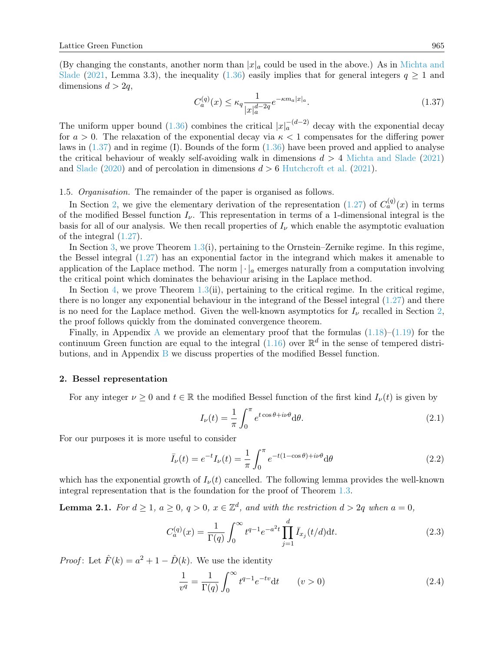(By changing the constants, another norm than  $|x|_a$  could be used in the above.) As in [Michta and](#page-23-7) [Slade](#page-23-7) [\(2021,](#page-23-7) Lemma 3.3), the inequality [\(1.36\)](#page-7-3) easily implies that for general integers  $q \ge 1$  and dimensions  $d > 2q$ ,

<span id="page-8-0"></span>
$$
C_a^{(q)}(x) \le \kappa_q \frac{1}{|x|_a^{d-2q}} e^{-\kappa m_a |x|_a}.
$$
\n(1.37)

The uniform upper bound [\(1.36\)](#page-7-3) combines the critical  $|x|_a^{-(d-2)}$  decay with the exponential decay for  $a > 0$ . The relaxation of the exponential decay via  $\kappa < 1$  compensates for the differing power laws in  $(1.37)$  and in regime (I). Bounds of the form  $(1.36)$  have been proved and applied to analyse the critical behaviour of weakly self-avoiding walk in dimensions  $d > 4$  [Michta and Slade](#page-23-7) [\(2021\)](#page-23-7) and [Slade](#page-23-8) [\(2020\)](#page-23-8) and of percolation in dimensions  $d > 6$  [Hutchcroft et al.](#page-23-9) [\(2021\)](#page-23-9).

1.5. Organisation. The remainder of the paper is organised as follows.

In Section [2,](#page-8-1) we give the elementary derivation of the representation [\(1.27\)](#page-5-5) of  $C_a^{(q)}(x)$  in terms of the modified Bessel function  $I_{\nu}$ . This representation in terms of a 1-dimensional integral is the basis for all of our analysis. We then recall properties of  $I_{\nu}$  which enable the asymptotic evaluation of the integral [\(1.27\)](#page-5-5).

In Section [3,](#page-10-0) we prove Theorem  $1.3(i)$  $1.3(i)$ , pertaining to the Ornstein–Zernike regime. In this regime, the Bessel integral [\(1.27\)](#page-5-5) has an exponential factor in the integrand which makes it amenable to application of the Laplace method. The norm  $\lvert \cdot \rvert_a$  emerges naturally from a computation involving the critical point which dominates the behaviour arising in the Laplace method.

In Section [4,](#page-15-0) we prove Theorem  $1.3(ii)$  $1.3(ii)$ , pertaining to the critical regime. In the critical regime, there is no longer any exponential behaviour in the integrand of the Bessel integral [\(1.27\)](#page-5-5) and there is no need for the Laplace method. Given the well-known asymptotics for  $I_{\nu}$  recalled in Section [2,](#page-8-1) the proof follows quickly from the dominated convergence theorem.

Finally, in [A](#page-20-0)ppendix A we provide an elementary proof that the formulas  $(1.18)$ – $(1.19)$  for the continuum Green function are equal to the integral  $(1.16)$  over  $\mathbb{R}^d$  in the sense of tempered distributions, and in Appendix [B](#page-21-0) we discuss properties of the modified Bessel function.

### <span id="page-8-1"></span>2. Bessel representation

For any integer  $\nu \geq 0$  and  $t \in \mathbb{R}$  the modified Bessel function of the first kind  $I_{\nu}(t)$  is given by

$$
I_{\nu}(t) = \frac{1}{\pi} \int_0^{\pi} e^{t \cos \theta + i\nu\theta} d\theta.
$$
 (2.1)

For our purposes it is more useful to consider

$$
\bar{I}_{\nu}(t) = e^{-t}I_{\nu}(t) = \frac{1}{\pi} \int_0^{\pi} e^{-t(1-\cos\theta) + i\nu\theta} d\theta
$$
\n(2.2)

which has the exponential growth of  $I_{\nu}(t)$  cancelled. The following lemma provides the well-known integral representation that is the foundation for the proof of Theorem [1.3.](#page-5-3)

**Lemma 2.1.** For  $d \geq 1$ ,  $a \geq 0$ ,  $q > 0$ ,  $x \in \mathbb{Z}^d$ , and with the restriction  $d > 2q$  when  $a = 0$ ,

$$
C_a^{(q)}(x) = \frac{1}{\Gamma(q)} \int_0^\infty t^{q-1} e^{-a^2 t} \prod_{j=1}^d \bar{I}_{x_j}(t/d) dt.
$$
 (2.3)

*Proof*: Let  $\hat{F}(k) = a^2 + 1 - \hat{D}(k)$ . We use the identity

<span id="page-8-3"></span><span id="page-8-2"></span>
$$
\frac{1}{v^q} = \frac{1}{\Gamma(q)} \int_0^\infty t^{q-1} e^{-tv} dt \qquad (v > 0)
$$
\n(2.4)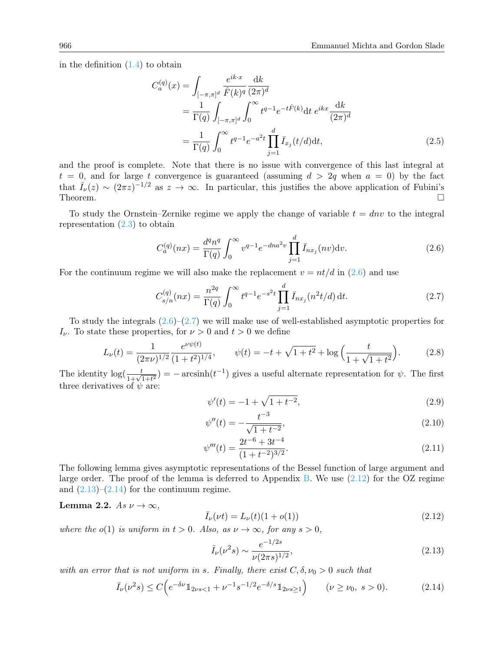in the definition  $(1.4)$  to obtain

$$
C_a^{(q)}(x) = \int_{[-\pi,\pi]^d} \frac{e^{ik \cdot x}}{\hat{F}(k)^q} \frac{dk}{(2\pi)^d}
$$
  
= 
$$
\frac{1}{\Gamma(q)} \int_{[-\pi,\pi]^d} \int_0^\infty t^{q-1} e^{-t\hat{F}(k)} dt \ e^{ikx} \frac{dk}{(2\pi)^d}
$$
  
= 
$$
\frac{1}{\Gamma(q)} \int_0^\infty t^{q-1} e^{-a^2 t} \prod_{j=1}^d \bar{I}_{x_j}(t/d) dt,
$$
 (2.5)

and the proof is complete. Note that there is no issue with convergence of this last integral at  $t = 0$ , and for large t convergence is guaranteed (assuming  $d > 2q$  when  $a = 0$ ) by the fact that  $\bar{I}_{\nu}(z) \sim (2\pi z)^{-1/2}$  as  $z \to \infty$ . In particular, this justifies the above application of Fubini's Theorem.

To study the Ornstein–Zernike regime we apply the change of variable  $t = dnv$  to the integral representation  $(2.3)$  to obtain

<span id="page-9-0"></span>
$$
C_a^{(q)}(nx) = \frac{d^q n^q}{\Gamma(q)} \int_0^\infty v^{q-1} e^{-dna^2 v} \prod_{j=1}^d \bar{I}_{nx_j}(nv) \mathrm{d}v. \tag{2.6}
$$

For the continuum regime we will also make the replacement  $v = nt/d$  in [\(2.6\)](#page-9-0) and use

$$
C_{s/n}^{(q)}(nx) = \frac{n^{2q}}{\Gamma(q)} \int_0^\infty t^{q-1} e^{-s^2 t} \prod_{j=1}^d \bar{I}_{nx_j}(n^2 t/d) dt.
$$
 (2.7)

To study the integrals  $(2.6)$ – $(2.7)$  we will make use of well-established asymptotic properties for  $I_{\nu}$ . To state these properties, for  $\nu > 0$  and  $t > 0$  we define

<span id="page-9-5"></span>
$$
L_{\nu}(t) = \frac{1}{(2\pi\nu)^{1/2}} \frac{e^{\nu\psi(t)}}{(1+t^2)^{1/4}}, \qquad \psi(t) = -t + \sqrt{1+t^2} + \log\left(\frac{t}{1+\sqrt{1+t^2}}\right). \tag{2.8}
$$

The identity  $\log(\frac{t}{1+\sqrt{1+t^2}}) = -\arcsinh(t^{-1})$  gives a useful alternate representation for  $\psi$ . The first three derivatives of  $\psi$  are:

<span id="page-9-6"></span><span id="page-9-1"></span>
$$
\psi'(t) = -1 + \sqrt{1 + t^{-2}},\tag{2.9}
$$

<span id="page-9-8"></span><span id="page-9-7"></span>
$$
\psi''(t) = -\frac{t^{-3}}{\sqrt{1+t^{-2}}},\tag{2.10}
$$

$$
\psi'''(t) = \frac{2t^{-6} + 3t^{-4}}{(1 + t^{-2})^{3/2}}.\tag{2.11}
$$

The following lemma gives asymptotic representations of the Bessel function of large argument and large order. The proof of the lemma is deferred to Appendix [B.](#page-21-0) We use  $(2.12)$  for the OZ regime and  $(2.13)$ – $(2.14)$  for the continuum regime.

## <span id="page-9-9"></span>Lemma 2.2. As  $\nu \to \infty$ ,

<span id="page-9-2"></span>
$$
\bar{I}_{\nu}(\nu t) = L_{\nu}(t)(1 + o(1))\tag{2.12}
$$

where the  $o(1)$  is uniform in  $t > 0$ . Also, as  $\nu \to \infty$ , for any  $s > 0$ ,

<span id="page-9-4"></span><span id="page-9-3"></span>
$$
\bar{I}_{\nu}(\nu^2 s) \sim \frac{e^{-1/2s}}{\nu (2\pi s)^{1/2}},\tag{2.13}
$$

with an error that is not uniform in s. Finally, there exist  $C, \delta, \nu_0 > 0$  such that

$$
\bar{I}_{\nu}(\nu^{2}s) \le C\Big(e^{-\delta\nu}\mathbb{1}_{2\nu s<1} + \nu^{-1}s^{-1/2}e^{-\delta/s}\mathbb{1}_{2\nu s\ge1}\Big) \qquad (\nu \geq \nu_{0}, \ s > 0). \tag{2.14}
$$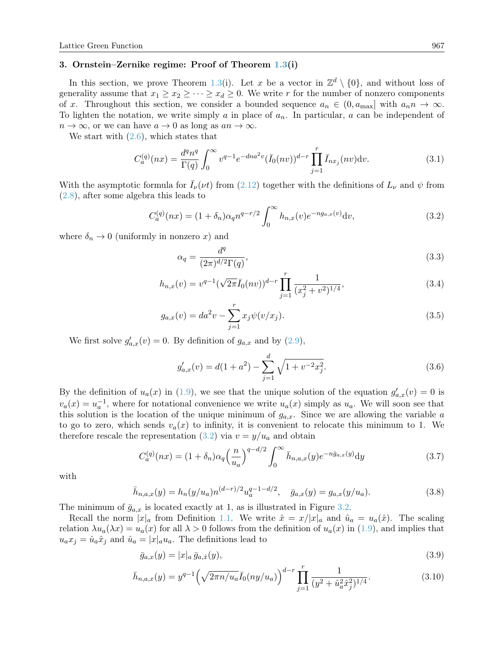#### <span id="page-10-0"></span>3. Ornstein–Zernike regime: Proof of Theorem [1.3\(](#page-5-3)i)

In this section, we prove Theorem [1.3\(](#page-5-3)i). Let x be a vector in  $\mathbb{Z}^d \setminus \{0\}$ , and without loss of generality assume that  $x_1 \ge x_2 \ge \cdots \ge x_d \ge 0$ . We write r for the number of nonzero components of x. Throughout this section, we consider a bounded sequence  $a_n \in (0, a_{\text{max}}]$  with  $a_n n \to \infty$ . To lighten the notation, we write simply a in place of  $a_n$ . In particular, a can be independent of  $n \to \infty$ , or we can have  $a \to 0$  as long as  $an \to \infty$ .

We start with  $(2.6)$ , which states that

$$
C_a^{(q)}(nx) = \frac{d^q n^q}{\Gamma(q)} \int_0^\infty v^{q-1} e^{-dna^2v} (\bar{I}_0(nv))^{d-r} \prod_{j=1}^r \bar{I}_{nx_j}(nv) \mathrm{d}v.
$$
 (3.1)

With the asymptotic formula for  $\bar{I}_{\nu}(\nu t)$  from [\(2.12\)](#page-9-2) together with the definitions of  $L_{\nu}$  and  $\psi$  from [\(2.8\)](#page-9-5), after some algebra this leads to

$$
C_a^{(q)}(nx) = (1 + \delta_n)\alpha_q n^{q-r/2} \int_0^\infty h_{n,x}(v)e^{-ng_{a,x}(v)}\mathrm{d}v,\tag{3.2}
$$

where  $\delta_n \to 0$  (uniformly in nonzero x) and

<span id="page-10-7"></span><span id="page-10-1"></span>
$$
\alpha_q = \frac{d^q}{(2\pi)^{d/2}\Gamma(q)},\tag{3.3}
$$

$$
h_{n,x}(v) = v^{q-1} (\sqrt{2\pi} \bar{I}_0(nv))^{d-r} \prod_{j=1}^r \frac{1}{(x_j^2 + v^2)^{1/4}},
$$
\n(3.4)

$$
g_{a,x}(v) = da^2v - \sum_{j=1}^{r} x_j \psi(v/x_j).
$$
 (3.5)

We first solve  $g'_{a,x}(v) = 0$ . By definition of  $g_{a,x}$  and by  $(2.9)$ ,

<span id="page-10-5"></span><span id="page-10-4"></span><span id="page-10-2"></span>
$$
g'_{a,x}(v) = d(1+a^2) - \sum_{j=1}^{d} \sqrt{1+v^{-2}x_j^2}.
$$
\n(3.6)

By the definition of  $u_a(x)$  in [\(1.9\)](#page-3-0), we see that the unique solution of the equation  $g'_{a,x}(v) = 0$  is  $v_a(x) = u_a^{-1}$ , where for notational convenience we write  $u_a(x)$  simply as  $u_a$ . We will soon see that this solution is the location of the unique minimum of  $g_{a,x}$ . Since we are allowing the variable a to go to zero, which sends  $v_a(x)$  to infinity, it is convenient to relocate this minimum to 1. We therefore rescale the representation [\(3.2\)](#page-10-1) via  $v = y/u_a$  and obtain

$$
C_a^{(q)}(nx) = (1 + \delta_n)\alpha_q \left(\frac{n}{u_a}\right)^{q - d/2} \int_0^\infty \bar{h}_{n,a,x}(y) e^{-n\bar{g}_{a,x}(y)} dy \tag{3.7}
$$

with

$$
\bar{h}_{n,a,x}(y) = h_n(y/u_a) n^{(d-r)/2} u_a^{q-1-d/2}, \quad \bar{g}_{a,x}(y) = g_{a,x}(y/u_a). \tag{3.8}
$$

The minimum of  $\bar{g}_{a,x}$  is located exactly at 1, as is illustrated in Figure [3.2.](#page-11-0)

Recall the norm  $|x|_a$  from Definition [1.1.](#page-3-6) We write  $\hat{x} = x/|x|_a$  and  $\hat{u}_a = u_a(\hat{x})$ . The scaling relation  $\lambda u_a(\lambda x) = u_a(x)$  for all  $\lambda > 0$  follows from the definition of  $u_a(x)$  in [\(1.9\)](#page-3-0), and implies that  $u_a x_j = \hat{u}_a \hat{x}_j$  and  $\hat{u}_a = |x|_a u_a$ . The definitions lead to

<span id="page-10-6"></span><span id="page-10-3"></span>
$$
\bar{g}_{a,x}(y) = |x|_a \bar{g}_{a,\hat{x}}(y),\tag{3.9}
$$

$$
\bar{h}_{n,a,x}(y) = y^{q-1} \left( \sqrt{2\pi n / u_a} \bar{I}_0(ny/u_a) \right)^{d-r} \prod_{j=1}^r \frac{1}{(y^2 + \hat{u}_a^2 \hat{x}_j^2)^{1/4}}.
$$
\n(3.10)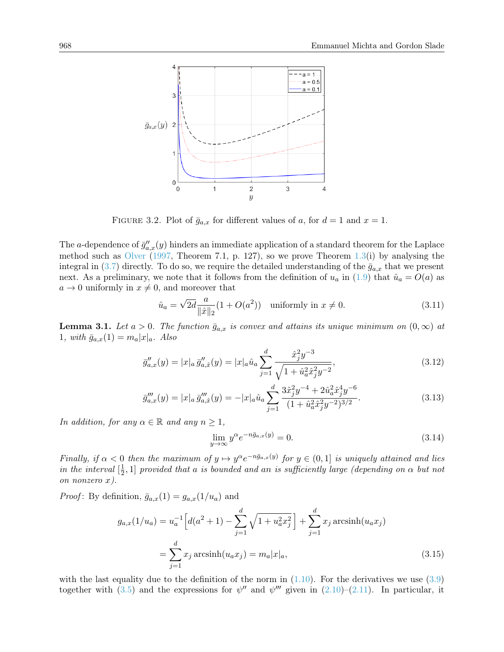

<span id="page-11-0"></span>FIGURE 3.2. Plot of  $\bar{g}_{a,x}$  for different values of a, for  $d=1$  and  $x=1$ .

The a-dependence of  $\bar{g}''_{a,x}(y)$  hinders an immediate application of a standard theorem for the Laplace method such as [Olver](#page-23-20)  $(1997,$  Theorem 7.1, p. 127), so we prove Theorem [1.3\(](#page-5-3)i) by analysing the integral in [\(3.7\)](#page-10-2) directly. To do so, we require the detailed understanding of the  $\bar{g}_{a,x}$  that we present next. As a preliminary, we note that it follows from the definition of  $u_a$  in [\(1.9\)](#page-3-0) that  $\hat{u}_a = O(a)$  as  $a \rightarrow 0$  uniformly in  $x \neq 0$ , and moreover that

$$
\hat{u}_a = \sqrt{2d} \frac{a}{\|\hat{x}\|_2} (1 + O(a^2)) \quad \text{uniformly in } x \neq 0. \tag{3.11}
$$

<span id="page-11-4"></span>**Lemma 3.1.** Let  $a > 0$ . The function  $\bar{g}_{a,x}$  is convex and attains its unique minimum on  $(0, \infty)$  at 1, with  $\bar{g}_{a,x}(1) = m_a |x|_a$ . Also

$$
\bar{g}_{a,x}''(y) = |x|_a \bar{g}_{a,\hat{x}}''(y) = |x|_a \hat{u}_a \sum_{j=1}^d \frac{\hat{x}_j^2 y^{-3}}{\sqrt{1 + \hat{u}_a^2 \hat{x}_j^2 y^{-2}}},\tag{3.12}
$$

$$
\bar{g}_{a,x}'''(y) = |x|_a \bar{g}_{a,\hat{x}}'''(y) = -|x|_a \hat{u}_a \sum_{j=1}^d \frac{3\hat{x}_j^2 y^{-4} + 2\hat{u}_a^2 \hat{x}_j^4 y^{-6}}{(1 + \hat{u}_a^2 \hat{x}_j^2 y^{-2})^{3/2}}.
$$
\n(3.13)

In addition, for any  $\alpha \in \mathbb{R}$  and any  $n \geq 1$ ,

<span id="page-11-3"></span><span id="page-11-2"></span><span id="page-11-1"></span>
$$
\lim_{y \to \infty} y^{\alpha} e^{-n\bar{g}_{a,x}(y)} = 0. \tag{3.14}
$$

Finally, if  $\alpha < 0$  then the maximum of  $y \mapsto y^{\alpha}e^{-n\bar{g}_{a,x}(y)}$  for  $y \in (0,1]$  is uniquely attained and lies in the interval  $\left[\frac{1}{2}\right]$  $\frac{1}{2}$ , 1] provided that a is bounded and an is sufficiently large (depending on  $\alpha$  but not on nonzero x).

*Proof*: By definition,  $\bar{g}_{a,x}(1) = g_{a,x}(1/u_a)$  and

$$
g_{a,x}(1/u_a) = u_a^{-1} \Big[ d(a^2 + 1) - \sum_{j=1}^d \sqrt{1 + u_a^2 x_j^2} \Big] + \sum_{j=1}^d x_j \operatorname{arcsinh}(u_a x_j)
$$
  
= 
$$
\sum_{j=1}^d x_j \operatorname{arcsinh}(u_a x_j) = m_a |x|_a,
$$
 (3.15)

with the last equality due to the definition of the norm in  $(1.10)$ . For the derivatives we use  $(3.9)$ together with [\(3.5\)](#page-10-4) and the expressions for  $\psi''$  and  $\psi'''$  given in [\(2.10\)](#page-9-7)–[\(2.11\)](#page-9-8). In particular, it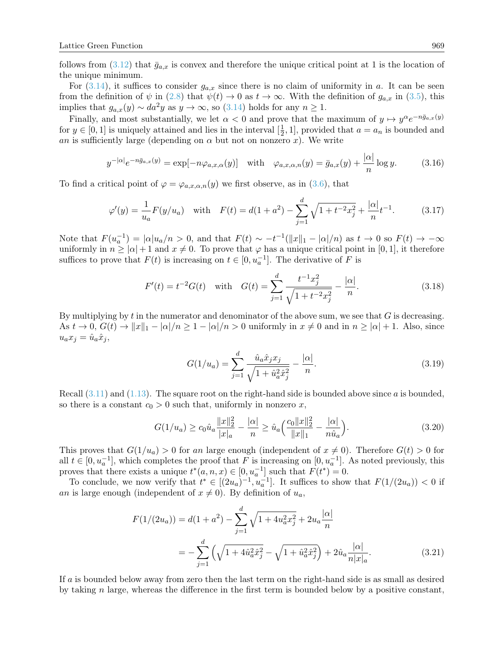follows from [\(3.12\)](#page-11-1) that  $\bar{q}_{a,x}$  is convex and therefore the unique critical point at 1 is the location of the unique minimum.

For  $(3.14)$ , it suffices to consider  $g_{a,x}$  since there is no claim of uniformity in a. It can be seen from the definition of  $\psi$  in [\(2.8\)](#page-9-5) that  $\psi(t) \to 0$  as  $t \to \infty$ . With the definition of  $g_{a,x}$  in [\(3.5\)](#page-10-4), this implies that  $g_{a,x}(y) \sim da^2y$  as  $y \to \infty$ , so [\(3.14\)](#page-11-2) holds for any  $n \ge 1$ .

Finally, and most substantially, we let  $\alpha < 0$  and prove that the maximum of  $y \mapsto y^{\alpha}e^{-n\bar{g}_{a,x}(y)}$ for  $y \in [0, 1]$  is uniquely attained and lies in the interval  $\left[\frac{1}{2}, \frac{1}{2}\right]$  $(\frac{1}{2}, 1]$ , provided that  $a = a_n$  is bounded and an is sufficiently large (depending on  $\alpha$  but not on nonzero x). We write

$$
y^{-|\alpha|}e^{-n\bar{g}_{a,x}(y)} = \exp[-n\varphi_{a,x,\alpha}(y)] \quad \text{with} \quad \varphi_{a,x,\alpha,n}(y) = \bar{g}_{a,x}(y) + \frac{|\alpha|}{n}\log y. \tag{3.16}
$$

To find a critical point of  $\varphi = \varphi_{a,x,\alpha,n}(y)$  we first observe, as in [\(3.6\)](#page-10-5), that

$$
\varphi'(y) = \frac{1}{u_a} F(y/u_a) \quad \text{with} \quad F(t) = d(1+a^2) - \sum_{j=1}^d \sqrt{1+t^{-2}x_j^2} + \frac{|\alpha|}{n}t^{-1}.\tag{3.17}
$$

Note that  $F(u_a^{-1}) = |\alpha| u_a/n > 0$ , and that  $F(t) \sim -t^{-1} (||x||_1 - |\alpha|/n)$  as  $t \to 0$  so  $F(t) \to -\infty$ uniformly in  $n \geq |\alpha| + 1$  and  $x \neq 0$ . To prove that  $\varphi$  has a unique critical point in [0, 1], it therefore suffices to prove that  $F(t)$  is increasing on  $t \in [0, u_a^{-1}]$ . The derivative of F is

$$
F'(t) = t^{-2}G(t) \quad \text{with} \quad G(t) = \sum_{j=1}^{d} \frac{t^{-1}x_j^2}{\sqrt{1+t^{-2}x_j^2}} - \frac{|\alpha|}{n}.\tag{3.18}
$$

By multiplying by t in the numerator and denominator of the above sum, we see that  $G$  is decreasing. As  $t \to 0$ ,  $G(t) \to ||x||_1 - |\alpha|/n \geq 1 - |\alpha|/n > 0$  uniformly in  $x \neq 0$  and in  $n \geq |\alpha| + 1$ . Also, since  $u_a x_j = \hat{u}_a \hat{x}_j,$ 

$$
G(1/u_a) = \sum_{j=1}^{d} \frac{\hat{u}_a \hat{x}_j x_j}{\sqrt{1 + \hat{u}_a^2 \hat{x}_j^2}} - \frac{|\alpha|}{n}.
$$
\n(3.19)

Recall  $(3.11)$  and  $(1.13)$ . The square root on the right-hand side is bounded above since a is bounded, so there is a constant  $c_0 > 0$  such that, uniformly in nonzero x,

$$
G(1/u_a) \ge c_0 \hat{u}_a \frac{\|x\|_2^2}{\|x\|_a} - \frac{|\alpha|}{n} \ge \hat{u}_a \Big(\frac{c_0 \|x\|_2^2}{\|x\|_1} - \frac{|\alpha|}{n \hat{u}_a}\Big). \tag{3.20}
$$

This proves that  $G(1/u_a) > 0$  for an large enough (independent of  $x \neq 0$ ). Therefore  $G(t) > 0$  for all  $t \in [0, u_a^{-1}]$ , which completes the proof that F is increasing on  $[0, u_a^{-1}]$ . As noted previously, this proves that there exists a unique  $t^*(a, n, x) \in [0, u_a^{-1}]$  such that  $F(t^*) = 0$ .

To conclude, we now verify that  $t^* \in [(2u_a)^{-1}, u_a^{-1}]$ . It suffices to show that  $F(1/(2u_a)) < 0$  if an is large enough (independent of  $x \neq 0$ ). By definition of  $u_a$ ,

$$
F(1/(2u_a)) = d(1+a^2) - \sum_{j=1}^d \sqrt{1+4u_a^2 x_j^2} + 2u_a \frac{|\alpha|}{n}
$$
  
= 
$$
-\sum_{j=1}^d \left(\sqrt{1+4\hat{u}_a^2 \hat{x}_j^2} - \sqrt{1+\hat{u}_a^2 \hat{x}_j^2}\right) + 2\hat{u}_a \frac{|\alpha|}{n|x|_a}.
$$
 (3.21)

If a is bounded below away from zero then the last term on the right-hand side is as small as desired by taking n large, whereas the difference in the first term is bounded below by a positive constant,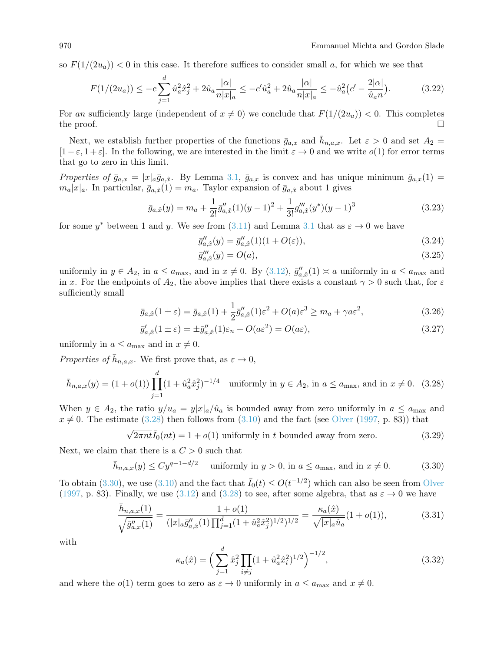so  $F(1/(2u_a)) < 0$  in this case. It therefore suffices to consider small a, for which we see that

$$
F(1/(2u_a)) \le -c \sum_{j=1}^d \hat{u}_a^2 \hat{x}_j^2 + 2\hat{u}_a \frac{|\alpha|}{n|x|_a} \le -c' \hat{u}_a^2 + 2\hat{u}_a \frac{|\alpha|}{n|x|_a} \le -\hat{u}_a^2 (c' - \frac{2|\alpha|}{\hat{u}_a n}).\tag{3.22}
$$

For an sufficiently large (independent of  $x \neq 0$ ) we conclude that  $F(1/(2u_a)) < 0$ . This completes the proof.  $\Box$ 

Next, we establish further properties of the functions  $\bar{g}_{a,x}$  and  $\bar{h}_{n,a,x}$ . Let  $\varepsilon > 0$  and set  $A_2 =$  $[1-\varepsilon, 1+\varepsilon]$ . In the following, we are interested in the limit  $\varepsilon \to 0$  and we write  $o(1)$  for error terms that go to zero in this limit.

Properties of  $\bar{g}_{a,x} = |x|_a \bar{g}_{a,\hat{x}}$ . By Lemma [3.1,](#page-11-4)  $\bar{g}_{a,x}$  is convex and has unique minimum  $\bar{g}_{a,x}(1) =$  $m_a|x|_a$ . In particular,  $\bar{g}_{a,\hat{x}}(1) = m_a$ . Taylor expansion of  $\bar{g}_{a,\hat{x}}$  about 1 gives

<span id="page-13-3"></span>
$$
\bar{g}_{a,\hat{x}}(y) = m_a + \frac{1}{2!} \bar{g}_{a,\hat{x}}''(1)(y-1)^2 + \frac{1}{3!} g_{a,\hat{x}}'''(y^*)(y-1)^3
$$
\n(3.23)

for some  $y^*$  between 1 and y. We see from [\(3.11\)](#page-11-3) and Lemma [3.1](#page-11-4) that as  $\varepsilon \to 0$  we have

$$
\bar{g}_{a,\hat{x}}''(y) = \bar{g}_{a,\hat{x}}''(1)(1+O(\varepsilon)),
$$
\n(3.24)

<span id="page-13-7"></span><span id="page-13-5"></span><span id="page-13-4"></span><span id="page-13-0"></span>
$$
\bar{g}'''_{a,\hat{x}}(y) = O(a),\tag{3.25}
$$

uniformly in  $y \in A_2$ , in  $a \le a_{\text{max}}$ , and in  $x \ne 0$ . By  $(3.12)$ ,  $\bar{g}''_{a,\hat{x}}(1) \approx a$  uniformly in  $a \le a_{\text{max}}$  and in x. For the endpoints of  $A_2$ , the above implies that there exists a constant  $\gamma > 0$  such that, for  $\varepsilon$ sufficiently small

$$
\bar{g}_{a,\hat{x}}(1\pm\varepsilon) = \bar{g}_{a,\hat{x}}(1) + \frac{1}{2}\bar{g}_{a,\hat{x}}''(1)\varepsilon^2 + O(a)\varepsilon^3 \ge m_a + \gamma a\varepsilon^2,\tag{3.26}
$$

$$
\bar{g}'_{a,\hat{x}}(1\pm\varepsilon) = \pm \bar{g}''_{a,\hat{x}}(1)\varepsilon_n + O(a\varepsilon^2) = O(a\varepsilon),\tag{3.27}
$$

uniformly in  $a \le a_{\text{max}}$  and in  $x \ne 0$ .

Properties of  $\bar{h}_{n,a,x}$ . We first prove that, as  $\varepsilon \to 0$ ,

$$
\bar{h}_{n,a,x}(y) = (1 + o(1)) \prod_{j=1}^{d} (1 + \hat{u}_a^2 \hat{x}_j^2)^{-1/4} \text{ uniformly in } y \in A_2 \text{, in } a \le a_{\text{max}}, \text{ and in } x \ne 0. \tag{3.28}
$$

When  $y \in A_2$ , the ratio  $y/u_a = y|x|_a/\hat{u}_a$  is bounded away from zero uniformly in  $a \le a_{\text{max}}$  and  $x \neq 0$ . The estimate [\(3.28\)](#page-13-0) then follows from [\(3.10\)](#page-10-6) and the fact (see [Olver](#page-23-20) [\(1997,](#page-23-20) p. 83)) that

$$
\sqrt{2\pi nt}\overline{I}_0(nt) = 1 + o(1)
$$
 uniformly in *t* bounded away from zero. (3.29)

Next, we claim that there is a  $C > 0$  such that

$$
\bar{h}_{n,a,x}(y) \le Cy^{q-1-d/2} \quad \text{ uniformly in } y > 0, \text{ in } a \le a_{\text{max}}, \text{ and in } x \ne 0. \tag{3.30}
$$

To obtain [\(3.30\)](#page-13-1), we use [\(3.10\)](#page-10-6) and the fact that  $\bar{I}_0(t) \leq O(t^{-1/2})$  which can also be seen from [Olver](#page-23-20) [\(1997,](#page-23-20) p. 83). Finally, we use [\(3.12\)](#page-11-1) and [\(3.28\)](#page-13-0) to see, after some algebra, that as  $\varepsilon \to 0$  we have

$$
\frac{\bar{h}_{n,a,x}(1)}{\sqrt{\bar{g}_{a,x}^{\prime\prime}(1)}} = \frac{1 + o(1)}{(|x|_a \bar{g}_{a,\hat{x}}^{\prime\prime}(1) \prod_{j=1}^d (1 + \hat{u}_a^2 \hat{x}_j^2)^{1/2})^{1/2}} = \frac{\kappa_a(\hat{x})}{\sqrt{|x|_a \hat{u}_a}} (1 + o(1)),
$$
\n(3.31)

with

<span id="page-13-6"></span><span id="page-13-2"></span><span id="page-13-1"></span>
$$
\kappa_a(\hat{x}) = \left(\sum_{j=1}^d \hat{x}_j^2 \prod_{i \neq j} (1 + \hat{u}_a^2 \hat{x}_i^2)^{1/2}\right)^{-1/2},\tag{3.32}
$$

and where the  $o(1)$  term goes to zero as  $\varepsilon \to 0$  uniformly in  $a \le a_{\text{max}}$  and  $x \ne 0$ .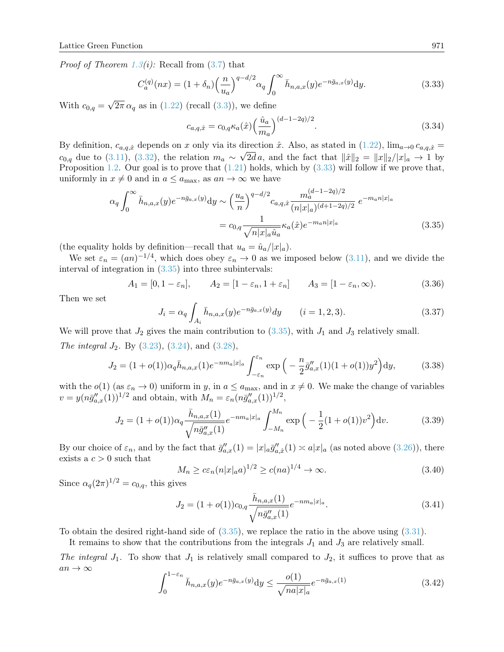*Proof of Theorem [1.3\(](#page-5-3)i)*: Recall from  $(3.7)$  that

$$
C_a^{(q)}(nx) = (1 + \delta_n) \left(\frac{n}{u_a}\right)^{q - d/2} \alpha_q \int_0^\infty \bar{h}_{n,a,x}(y) e^{-n \bar{g}_{a,x}(y)} dy.
$$
 (3.33)

With  $c_{0,q} =$ √  $2\pi \alpha_q$  as in  $(1.22)$  (recall  $(3.3)$ ), we define

<span id="page-14-1"></span><span id="page-14-0"></span>
$$
c_{a,q,\hat{x}} = c_{0,q} \kappa_a(\hat{x}) \left(\frac{\hat{u}_a}{m_a}\right)^{(d-1-2q)/2}.
$$
 (3.34)

By definition,  $c_{a,q,\hat{x}}$  depends on x only via its direction  $\hat{x}$ . Also, as stated in  $(1.22)$ ,  $\lim_{a\to 0} c_{a,q,\hat{x}} =$  $c_{0,q}$  due to [\(3.11\)](#page-11-3), [\(3.32\)](#page-13-2), the relation  $m_a \sim \sqrt{2d}a$ , and the fact that  $\|\hat{x}\|_2 = \|x\|_2/|x|_a \to 1$  by Proposition [1.2.](#page-3-3) Our goal is to prove that  $(1.21)$  holds, which by  $(3.33)$  will follow if we prove that, uniformly in  $x \neq 0$  and in  $a \leq a_{\text{max}}$ , as  $an \to \infty$  we have

$$
\alpha_q \int_0^\infty \bar{h}_{n,a,x}(y) e^{-n\bar{g}_{a,x}(y)} dy \sim \left(\frac{u_a}{n}\right)^{q-d/2} c_{a,q,\hat{x}} \frac{m_a^{(d-1-2q)/2}}{(n|x|_a)^{(d+1-2q)/2}} e^{-m_a n|x|_a}
$$

$$
= c_{0,q} \frac{1}{\sqrt{n|x|_a \hat{u}_a}} \kappa_a(\hat{x}) e^{-m_a n|x|_a} \tag{3.35}
$$

(the equality holds by definition—recall that  $u_a = \hat{u}_a/|x|_a$ ).

We set  $\varepsilon_n = (an)^{-1/4}$ , which does obey  $\varepsilon_n \to 0$  as we imposed below [\(3.11\)](#page-11-3), and we divide the interval of integration in [\(3.35\)](#page-14-1) into three subintervals:

$$
A_1 = [0, 1 - \varepsilon_n], \qquad A_2 = [1 - \varepsilon_n, 1 + \varepsilon_n] \qquad A_3 = [1 - \varepsilon_n, \infty). \tag{3.36}
$$

Then we set

$$
J_i = \alpha_q \int_{A_i} \bar{h}_{n,a,x}(y) e^{-n\bar{g}_{a,x}(y)} dy \qquad (i = 1, 2, 3).
$$
 (3.37)

We will prove that  $J_2$  gives the main contribution to [\(3.35\)](#page-14-1), with  $J_1$  and  $J_3$  relatively small. The integral  $J_2$ . By [\(3.23\)](#page-13-3), [\(3.24\)](#page-13-4), and [\(3.28\)](#page-13-0),

$$
J_2 = (1 + o(1))\alpha_q \bar{h}_{n,a,x}(1)e^{-nm_a|x|_a} \int_{-\varepsilon_n}^{\varepsilon_n} \exp\left(-\frac{n}{2}\bar{g}_{a,x}''(1)(1 + o(1))y^2\right) dy,\tag{3.38}
$$

with the  $o(1)$  (as  $\varepsilon_n \to 0$ ) uniform in y, in  $a \le a_{\text{max}}$ , and in  $x \ne 0$ . We make the change of variables  $v = y(n\bar{g}_{a,x}''(1))^{1/2}$  and obtain, with  $M_n = \varepsilon_n (n\bar{g}_{a,x}''(1))^{1/2}$ ,

$$
J_2 = (1 + o(1))\alpha_q \frac{\bar{h}_{n,a,x}(1)}{\sqrt{n\bar{g}_{a,x}''(1)}} e^{-n m_a |x|_a} \int_{-M_n}^{M_n} \exp\left(-\frac{1}{2}(1 + o(1))v^2\right) dv.
$$
 (3.39)

By our choice of  $\varepsilon_n$ , and by the fact that  $\bar{g}''_{a,x}(1) = |x|_a \bar{g}''_{a,\hat{x}}(1) \approx a|x|_a$  (as noted above [\(3.26\)](#page-13-5)), there exists a  $c > 0$  such that

$$
M_n \ge c\varepsilon_n (n|x|_a a)^{1/2} \ge c(na)^{1/4} \to \infty.
$$
 (3.40)

Since  $\alpha_q(2\pi)^{1/2} = c_{0,q}$ , this gives

$$
J_2 = (1 + o(1))c_{0,q} \frac{\bar{h}_{n,a,x}(1)}{\sqrt{n\bar{g}_{a,x}''(1)}} e^{-nm_a|x|_a}.
$$
\n(3.41)

To obtain the desired right-hand side of [\(3.35\)](#page-14-1), we replace the ratio in the above using [\(3.31\)](#page-13-6).

It remains to show that the contributions from the integrals  $J_1$  and  $J_3$  are relatively small.

The integral  $J_1$ . To show that  $J_1$  is relatively small compared to  $J_2$ , it suffices to prove that as  $an \to \infty$ 

<span id="page-14-2"></span>
$$
\int_0^{1-\varepsilon_n} \bar{h}_{n,a,x}(y) e^{-n\bar{g}_{a,x}(y)} dy \le \frac{o(1)}{\sqrt{na|x|_a}} e^{-n\bar{g}_{a,x}(1)} \tag{3.42}
$$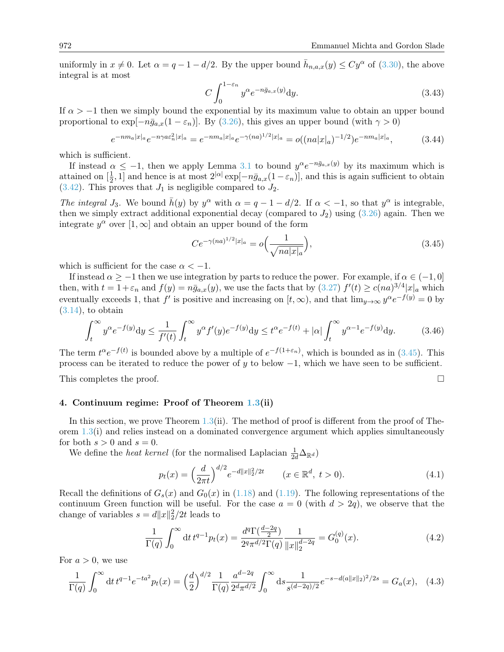uniformly in  $x \neq 0$ . Let  $\alpha = q - 1 - d/2$ . By the upper bound  $\bar{h}_{n,a,x}(y) \leq Cy^{\alpha}$  of [\(3.30\)](#page-13-1), the above integral is at most

$$
C \int_0^{1-\varepsilon_n} y^{\alpha} e^{-n\bar{g}_{a,x}(y)} dy.
$$
\n(3.43)

If  $\alpha > -1$  then we simply bound the exponential by its maximum value to obtain an upper bound proportional to  $\exp[-n\bar{g}_{a,x}(1-\varepsilon_n)]$ . By [\(3.26\)](#page-13-5), this gives an upper bound (with  $\gamma > 0$ )

$$
e^{-n m_a |x|_a} e^{-n \gamma a \varepsilon_n^2 |x|_a} = e^{-n m_a |x|_a} e^{-\gamma (na)^{1/2} |x|_a} = o((na |x|_a)^{-1/2}) e^{-n m_a |x|_a}, \tag{3.44}
$$

which is sufficient.

If instead  $\alpha \leq -1$ , then we apply Lemma [3.1](#page-11-4) to bound  $y^{\alpha}e^{-n\bar{g}_{a,x}(y)}$  by its maximum which is attained on  $\left[\frac{1}{2}\right]$  $\frac{1}{2}$ , 1] and hence is at most  $2^{|\alpha|}\exp[-n\bar{g}_{a,x}(1-\varepsilon_n)]$ , and this is again sufficient to obtain  $(3.42)$ . This proves that  $J_1$  is negligible compared to  $J_2$ .

The integral  $J_3$ . We bound  $\bar{h}(y)$  by  $y^{\alpha}$  with  $\alpha = q - 1 - d/2$ . If  $\alpha < -1$ , so that  $y^{\alpha}$  is integrable, then we simply extract additional exponential decay (compared to  $J_2$ ) using  $(3.26)$  again. Then we integrate  $y^{\alpha}$  over  $[1,\infty]$  and obtain an upper bound of the form

<span id="page-15-1"></span>
$$
Ce^{-\gamma(na)^{1/2}|x|_a} = o\Big(\frac{1}{\sqrt{na|x|_a}}\Big),\tag{3.45}
$$

which is sufficient for the case  $\alpha < -1$ .

If instead  $\alpha \ge -1$  then we use integration by parts to reduce the power. For example, if  $\alpha \in (-1, 0]$ then, with  $t = 1 + \varepsilon_n$  and  $f(y) = n\bar{g}_{a,x}(y)$ , we use the facts that by  $(3.27) f'(t) \ge c(na)^{3/4} |x|_a$  $(3.27) f'(t) \ge c(na)^{3/4} |x|_a$  which eventually exceeds 1, that  $f'$  is positive and increasing on  $[t, \infty)$ , and that  $\lim_{y\to\infty} y^{\alpha}e^{-f(y)} = 0$  by  $(3.14)$ , to obtain

$$
\int_{t}^{\infty} y^{\alpha} e^{-f(y)} dy \le \frac{1}{f'(t)} \int_{t}^{\infty} y^{\alpha} f'(y) e^{-f(y)} dy \le t^{\alpha} e^{-f(t)} + |\alpha| \int_{t}^{\infty} y^{\alpha-1} e^{-f(y)} dy. \tag{3.46}
$$

The term  $t^{\alpha}e^{-f(t)}$  is bounded above by a multiple of  $e^{-f(1+\varepsilon_n)}$ , which is bounded as in [\(3.45\)](#page-15-1). This process can be iterated to reduce the power of  $\gamma$  to below  $-1$ , which we have seen to be sufficient.

This completes the proof.  $\square$ 

## <span id="page-15-0"></span>4. Continuum regime: Proof of Theorem [1.3\(](#page-5-3)ii)

In this section, we prove Theorem [1.3\(](#page-5-3)ii). The method of proof is different from the proof of Theorem [1.3\(](#page-5-3)i) and relies instead on a dominated convergence argument which applies simultaneously for both  $s > 0$  and  $s = 0$ .

We define the *heat kernel* (for the normalised Laplacian  $\frac{1}{2d} \Delta_{\mathbb{R}^d}$ )

<span id="page-15-4"></span><span id="page-15-3"></span>
$$
p_t(x) = \left(\frac{d}{2\pi t}\right)^{d/2} e^{-d||x||_2^2/2t} \qquad (x \in \mathbb{R}^d, \ t > 0). \tag{4.1}
$$

Recall the definitions of  $G_s(x)$  and  $G_0(x)$  in [\(1.18\)](#page-4-3) and [\(1.19\)](#page-4-2). The following representations of the continuum Green function will be useful. For the case  $a = 0$  (with  $d > 2q$ ), we observe that the change of variables  $s = d||x||_2^2/2t$  leads to

<span id="page-15-2"></span>
$$
\frac{1}{\Gamma(q)} \int_0^\infty dt \, t^{q-1} p_t(x) = \frac{d^q \Gamma(\frac{d-2q}{2})}{2^q \pi^{d/2} \Gamma(q)} \frac{1}{\|x\|_2^{d-2q}} = G_0^{(q)}(x). \tag{4.2}
$$

For  $a > 0$ , we use

$$
\frac{1}{\Gamma(q)} \int_0^\infty dt \, t^{q-1} e^{-ta^2} p_t(x) = \left(\frac{d}{2}\right)^{d/2} \frac{1}{\Gamma(q)} \frac{a^{d-2q}}{2^d \pi^{d/2}} \int_0^\infty ds \frac{1}{s^{(d-2q)/2}} e^{-s - d(a||x||_2)^2/2s} = G_a(x), \tag{4.3}
$$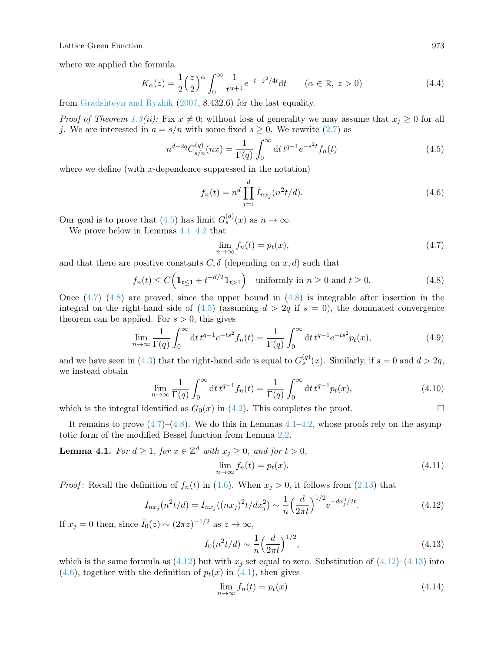where we applied the formula

$$
K_{\alpha}(z) = \frac{1}{2} \left(\frac{z}{2}\right)^{\alpha} \int_0^{\infty} \frac{1}{t^{\alpha+1}} e^{-t-z^2/4t} dt \qquad (\alpha \in \mathbb{R}, z > 0)
$$
\n(4.4)

from [Gradshteyn and Ryzhik](#page-23-19) [\(2007,](#page-23-19) 8.432.6) for the last equality.

*Proof of Theorem [1.3\(](#page-5-3)ii):* Fix  $x \neq 0$ ; without loss of generality we may assume that  $x_j \geq 0$  for all j. We are interested in  $a = s/n$  with some fixed  $s \geq 0$ . We rewrite [\(2.7\)](#page-9-1) as

$$
n^{d-2q}C_{s/n}^{(q)}(nx) = \frac{1}{\Gamma(q)} \int_0^\infty dt \, t^{q-1} e^{-s^2 t} f_n(t) \tag{4.5}
$$

where we define (with  $x$ -dependence suppressed in the notation)

<span id="page-16-4"></span><span id="page-16-0"></span>
$$
f_n(t) = n^d \prod_{j=1}^d \bar{I}_{nx_j}(n^2 t/d). \tag{4.6}
$$

Our goal is to prove that [\(4.5\)](#page-16-0) has limit  $G_s^{(q)}(x)$  as  $n \to \infty$ .

We prove below in Lemmas [4.1–](#page-16-1)[4.2](#page-17-0) that

<span id="page-16-2"></span>
$$
\lim_{n \to \infty} f_n(t) = p_t(x),\tag{4.7}
$$

and that there are positive constants  $C, \delta$  (depending on x, d) such that

<span id="page-16-3"></span>
$$
f_n(t) \le C\left(\mathbb{1}_{t\le 1} + t^{-d/2}\mathbb{1}_{t>1}\right) \quad \text{uniformly in } n \ge 0 \text{ and } t \ge 0. \tag{4.8}
$$

Once  $(4.7)$ – $(4.8)$  are proved, since the upper bound in  $(4.8)$  is integrable after insertion in the integral on the right-hand side of  $(4.5)$  (assuming  $d > 2q$  if  $s = 0$ ), the dominated convergence theorem can be applied. For  $s > 0$ , this gives

$$
\lim_{n \to \infty} \frac{1}{\Gamma(q)} \int_0^\infty dt \, t^{q-1} e^{-ts^2} f_n(t) = \frac{1}{\Gamma(q)} \int_0^\infty dt \, t^{q-1} e^{-ts^2} p_t(x),\tag{4.9}
$$

and we have seen in [\(4.3\)](#page-15-2) that the right-hand side is equal to  $G_s^{(q)}(x)$ . Similarly, if  $s = 0$  and  $d > 2q$ , we instead obtain

$$
\lim_{n \to \infty} \frac{1}{\Gamma(q)} \int_0^\infty dt \, t^{q-1} f_n(t) = \frac{1}{\Gamma(q)} \int_0^\infty dt \, t^{q-1} p_t(x),\tag{4.10}
$$

which is the integral identified as  $G_0(x)$  in [\(4.2\)](#page-15-3). This completes the proof.

It remains to prove  $(4.7)$ – $(4.8)$ . We do this in Lemmas  $4.1$ – $4.2$ , whose proofs rely on the asymptotic form of the modified Bessel function from Lemma [2.2.](#page-9-9)

<span id="page-16-1"></span>**Lemma 4.1.** For  $d \geq 1$ , for  $x \in \mathbb{Z}^d$  with  $x_j \geq 0$ , and for  $t > 0$ ,

<span id="page-16-5"></span>
$$
\lim_{n \to \infty} f_n(t) = p_t(x). \tag{4.11}
$$

*Proof*: Recall the definition of  $f_n(t)$  in [\(4.6\)](#page-16-4). When  $x_j > 0$ , it follows from [\(2.13\)](#page-9-3) that

$$
\bar{I}_{nx_j}(n^2t/d) = \bar{I}_{nx_j}((nx_j)^2t/dx_j^2) \sim \frac{1}{n} \left(\frac{d}{2\pi t}\right)^{1/2} e^{-dx_j^2/2t}.
$$
\n(4.12)

If  $x_j = 0$  then, since  $\bar{I}_0(z) \sim (2\pi z)^{-1/2}$  as  $z \to \infty$ ,

$$
\bar{I}_0(n^2t/d) \sim \frac{1}{n} \left(\frac{d}{2\pi t}\right)^{1/2},\tag{4.13}
$$

which is the same formula as  $(4.12)$  but with  $x_j$  set equal to zero. Substitution of  $(4.12)$ – $(4.13)$  into  $(4.6)$ , together with the definition of  $p_t(x)$  in  $(4.1)$ , then gives

<span id="page-16-6"></span>
$$
\lim_{n \to \infty} f_n(t) = p_t(x) \tag{4.14}
$$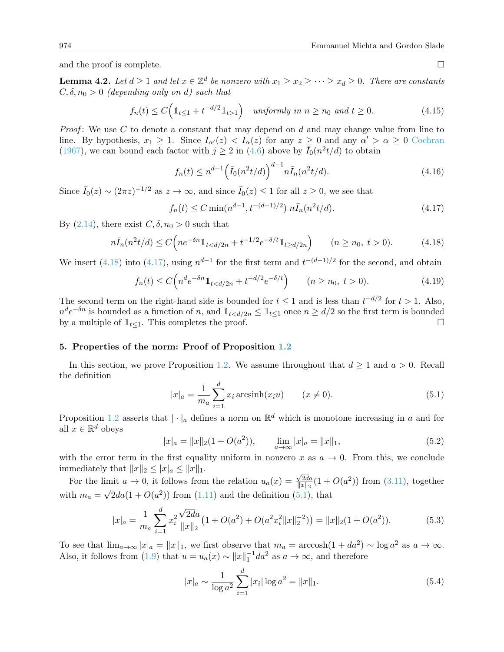and the proof is complete.

<span id="page-17-0"></span>**Lemma 4.2.** Let  $d \geq 1$  and let  $x \in \mathbb{Z}^d$  be nonzero with  $x_1 \geq x_2 \geq \cdots \geq x_d \geq 0$ . There are constants  $C, \delta, n_0 > 0$  (depending only on d) such that

$$
f_n(t) \le C\Big(\mathbb{1}_{t\le 1} + t^{-d/2}\mathbb{1}_{t>1}\Big) \quad \text{uniformly in } n \ge n_0 \text{ and } t \ge 0. \tag{4.15}
$$

*Proof*: We use C to denote a constant that may depend on d and may change value from line to line. By hypothesis,  $x_1 \geq 1$ . Since  $I_{\alpha'}(z) < I_{\alpha}(z)$  for any  $z \geq 0$  and any  $\alpha' > \alpha \geq 0$  [Cochran](#page-22-6) [\(1967\)](#page-22-6), we can bound each factor with  $j \geq 2$  in [\(4.6\)](#page-16-4) above by  $\bar{I}_0(n^2t/d)$  to obtain

$$
f_n(t) \le n^{d-1} \left(\bar{I}_0(n^2 t/d)\right)^{d-1} n \bar{I}_n(n^2 t/d). \tag{4.16}
$$

Since  $\bar{I}_0(z) \sim (2\pi z)^{-1/2}$  as  $z \to \infty$ , and since  $\bar{I}_0(z) \leq 1$  for all  $z \geq 0$ , we see that

<span id="page-17-2"></span>
$$
f_n(t) \le C \min(n^{d-1}, t^{-(d-1)/2}) \ n\bar{I}_n(n^2 t/d). \tag{4.17}
$$

By  $(2.14)$ , there exist  $C, \delta, n_0 > 0$  such that

$$
n\bar{I}_n(n^2t/d) \le C\Big(ne^{-\delta n}\mathbb{1}_{t < d/2n} + t^{-1/2}e^{-\delta/t}\mathbb{1}_{t \ge d/2n}\Big) \qquad (n \ge n_0, \ t > 0). \tag{4.18}
$$

We insert [\(4.18\)](#page-17-1) into [\(4.17\)](#page-17-2), using  $n^{d-1}$  for the first term and  $t^{-(d-1)/2}$  for the second, and obtain

$$
f_n(t) \le C \left( n^d e^{-\delta n} \mathbb{1}_{t < d/2n} + t^{-d/2} e^{-\delta/t} \right) \qquad (n \ge n_0, \ t > 0). \tag{4.19}
$$

The second term on the right-hand side is bounded for  $t \leq 1$  and is less than  $t^{-d/2}$  for  $t > 1$ . Also,  $n^d e^{-\delta n}$  is bounded as a function of n, and  $\mathbb{1}_{t < d/2n} \leq \mathbb{1}_{t \leq 1}$  once  $n \geq d/2$  so the first term is bounded by a multiple of  $1_{t\leq 1}$ . This completes the proof.

### 5. Properties of the norm: Proof of Proposition [1.2](#page-3-3)

In this section, we prove Proposition [1.2.](#page-3-3) We assume throughout that  $d \geq 1$  and  $a > 0$ . Recall the definition

<span id="page-17-3"></span>
$$
|x|_a = \frac{1}{m_a} \sum_{i=1}^d x_i \arcsinh(x_i u) \qquad (x \neq 0).
$$
 (5.1)

Proposition [1.2](#page-3-3) asserts that  $|\cdot|_a$  defines a norm on  $\mathbb{R}^d$  which is monotone increasing in a and for all  $x \in \mathbb{R}^d$  obeys

$$
|x|_a = ||x||_2(1 + O(a^2)), \qquad \lim_{a \to \infty} |x|_a = ||x||_1,
$$
\n(5.2)

with the error term in the first equality uniform in nonzero x as  $a \to 0$ . From this, we conclude immediately that  $||x||_2 \leq |x|_a \leq ||x||_1$ .

For the limit  $a \to 0$ , it follows from the relation  $u_a(x) =$  $\sqrt{2da}$ imit  $a \to 0$ , it follows from the relation  $u_a(x) = \frac{\sqrt{2da}}{\|x\|_2} (1 + O(a^2))$  from [\(3.11\)](#page-11-3), together with  $m_a = \sqrt{2d}a(1 + O(a^2))$  from [\(1.11\)](#page-3-5) and the definition [\(5.1\)](#page-17-3), that

$$
|x|_a = \frac{1}{m_a} \sum_{i=1}^d x_i^2 \frac{\sqrt{2d}a}{\|x\|_2} \left(1 + O(a^2) + O(a^2 x_i^2 \|x\|_2^{-2})\right) = \|x\|_2 (1 + O(a^2)).\tag{5.3}
$$

To see that  $\lim_{a\to\infty} |x|_a = ||x||_1$ , we first observe that  $m_a = \arccosh(1 + da^2) \sim \log a^2$  as  $a \to \infty$ . Also, it follows from [\(1.9\)](#page-3-0) that  $u = u_a(x) \sim ||x||_1^{-1} da^2$  as  $a \to \infty$ , and therefore

$$
|x|_a \sim \frac{1}{\log a^2} \sum_{i=1}^d |x_i| \log a^2 = ||x||_1.
$$
 (5.4)

<span id="page-17-1"></span>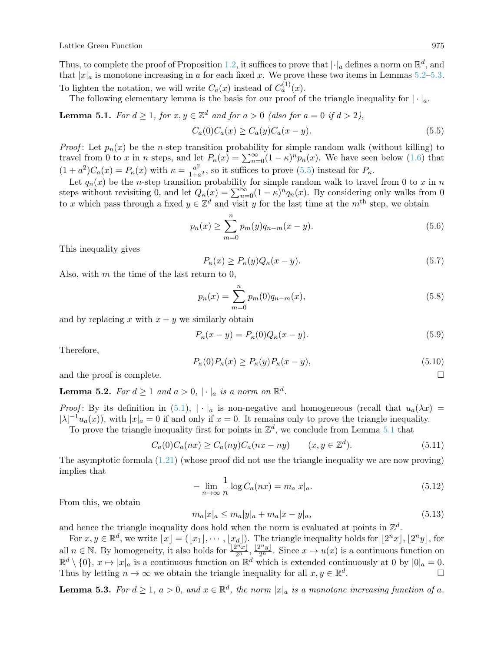Thus, to complete the proof of Proposition [1.2,](#page-3-3) it suffices to prove that  $|\cdot|_a$  defines a norm on  $\mathbb{R}^d$ , and that  $|x|_a$  is monotone increasing in a for each fixed x. We prove these two items in Lemmas [5.2–](#page-18-0)[5.3.](#page-18-1) To lighten the notation, we will write  $C_a(x)$  instead of  $C_a^{(1)}(x)$ .

The following elementary lemma is the basis for our proof of the triangle inequality for  $|\cdot|_a$ .

<span id="page-18-3"></span>**Lemma 5.1.** For 
$$
d \ge 1
$$
, for  $x, y \in \mathbb{Z}^d$  and for  $a > 0$  (also for  $a = 0$  if  $d > 2$ ),  

$$
C_a(0)C_a(x) \ge C_a(y)C_a(x - y).
$$
(5.5)

*Proof*: Let  $p_n(x)$  be the *n*-step transition probability for simple random walk (without killing) to travel from 0 to x in n steps, and let  $P_{\kappa}(x) = \sum_{n=0}^{\infty} (1 - \kappa)^n p_n(x)$ . We have seen below [\(1.6\)](#page-2-0) that  $(1+a^2)C_a(x) = P_\kappa(x)$  with  $\kappa = \frac{a^2}{1+\epsilon}$  $\frac{a^2}{1+a^2}$ , so it suffices to prove [\(5.5\)](#page-18-2) instead for  $P_{\kappa}$ .

Let  $q_n(x)$  be the *n*-step transition probability for simple random walk to travel from 0 to x in n steps without revisiting 0, and let  $Q_{\kappa}(x) = \sum_{n=0}^{\infty} (1 - \kappa)^n q_n(x)$ . By considering only walks from 0 to x which pass through a fixed  $y \in \mathbb{Z}^d$  and visit y for the last time at the  $m^{\text{th}}$  step, we obtain

<span id="page-18-2"></span>
$$
p_n(x) \ge \sum_{m=0}^n p_m(y) q_{n-m}(x-y). \tag{5.6}
$$

This inequality gives

$$
P_{\kappa}(x) \ge P_{\kappa}(y)Q_{\kappa}(x-y). \tag{5.7}
$$

Also, with  $m$  the time of the last return to 0,

$$
p_n(x) = \sum_{m=0}^{n} p_m(0) q_{n-m}(x),
$$
\n(5.8)

and by replacing x with  $x - y$  we similarly obtain

$$
P_{\kappa}(x-y) = P_{\kappa}(0)Q_{\kappa}(x-y). \tag{5.9}
$$

Therefore,

$$
P_{\kappa}(0)P_{\kappa}(x) \ge P_{\kappa}(y)P_{\kappa}(x-y),\tag{5.10}
$$

and the proof is complete.

<span id="page-18-0"></span>**Lemma 5.2.** For  $d \geq 1$  and  $a > 0$ ,  $|\cdot|_a$  is a norm on  $\mathbb{R}^d$ .

Proof: By its definition in [\(5.1\)](#page-17-3),  $|\cdot|_a$  is non-negative and homogeneous (recall that  $u_a(\lambda x)$  =  $|\lambda|^{-1}u_a(x)$ , with  $|x|_a=0$  if and only if  $x=0$ . It remains only to prove the triangle inequality. To prove the triangle inequality first for points in  $\mathbb{Z}^d$ , we conclude from Lemma [5.1](#page-18-3) that

$$
C_a(0)C_a(nx) \ge C_a(ny)C_a(nx-ny) \qquad (x, y \in \mathbb{Z}^d). \tag{5.11}
$$

The asymptotic formula  $(1.21)$  (whose proof did not use the triangle inequality we are now proving) implies that

$$
-\lim_{n\to\infty}\frac{1}{n}\log C_a(nx) = m_a|x|_a.
$$
\n(5.12)

From this, we obtain

$$
m_a|x|_a \le m_a|y|_a + m_a|x - y|_a,\tag{5.13}
$$

and hence the triangle inequality does hold when the norm is evaluated at points in  $\mathbb{Z}^d$ .

For  $x, y \in \mathbb{R}^d$ , we write  $\lfloor x \rfloor = (\lfloor x_1 \rfloor, \cdots, \lfloor x_d \rfloor)$ . The triangle inequality holds for  $\lfloor 2^n x \rfloor, \lfloor 2^n y \rfloor$ , for all  $n \in \mathbb{N}$ . By homogeneity, it also holds for  $\frac{[2^n x]}{2^n}$ ,  $\frac{[2^n y]}{2^n}$ . Since  $x \mapsto u(x)$  is a continuous function on  $\mathbb{R}^d \setminus \{0\}, x \mapsto |x|_a$  is a continuous function on  $\mathbb{R}^d$  which is extended continuously at 0 by  $|0|_a = 0$ . Thus by letting  $n \to \infty$  we obtain the triangle inequality for all  $x, y \in \mathbb{R}^d$ .

<span id="page-18-1"></span>**Lemma 5.3.** For  $d \geq 1$ ,  $a > 0$ , and  $x \in \mathbb{R}^d$ , the norm  $|x|_a$  is a monotone increasing function of a.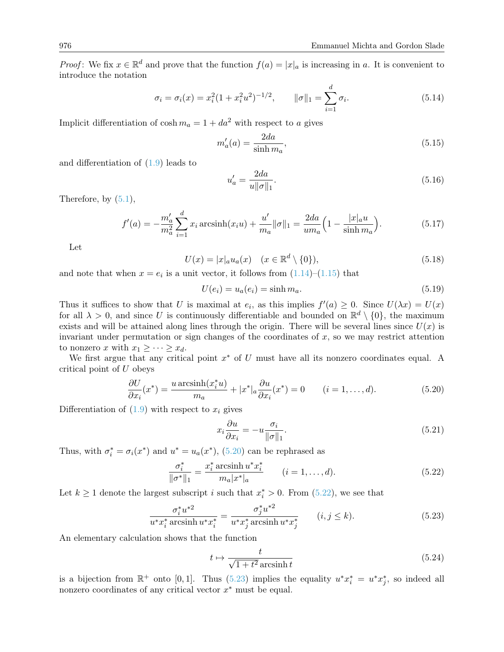*Proof*: We fix  $x \in \mathbb{R}^d$  and prove that the function  $f(a) = |x|_a$  is increasing in a. It is convenient to introduce the notation

$$
\sigma_i = \sigma_i(x) = x_i^2 (1 + x_i^2 u^2)^{-1/2}, \qquad \|\sigma\|_1 = \sum_{i=1}^d \sigma_i.
$$
 (5.14)

Implicit differentiation of  $\cosh m_a = 1 + da^2$  with respect to a gives

$$
m'_a(a) = \frac{2da}{\sinh m_a},\tag{5.15}
$$

and differentiation of [\(1.9\)](#page-3-0) leads to

$$
u'_a = \frac{2da}{u||\sigma||_1}.
$$
\n(5.16)

Therefore, by  $(5.1)$ ,

$$
f'(a) = -\frac{m'_a}{m_a^2} \sum_{i=1}^d x_i \operatorname{arcsinh}(x_i u) + \frac{u'}{m_a} ||\sigma||_1 = \frac{2da}{um_a} \left( 1 - \frac{|x|_a u}{\sinh m_a} \right).
$$
 (5.17)

Let

$$
U(x) = |x|_a u_a(x) \quad (x \in \mathbb{R}^d \setminus \{0\}), \tag{5.18}
$$

and note that when  $x = e_i$  is a unit vector, it follows from  $(1.14)$ – $(1.15)$  that

$$
U(e_i) = u_a(e_i) = \sinh m_a.
$$
\n
$$
(5.19)
$$

Thus it suffices to show that U is maximal at  $e_i$ , as this implies  $f'(a) \geq 0$ . Since  $U(\lambda x) = U(x)$ for all  $\lambda > 0$ , and since U is continuously differentiable and bounded on  $\mathbb{R}^d \setminus \{0\}$ , the maximum exists and will be attained along lines through the origin. There will be several lines since  $U(x)$  is invariant under permutation or sign changes of the coordinates of  $x$ , so we may restrict attention to nonzero x with  $x_1 \geq \cdots \geq x_d$ .

We first argue that any critical point  $x^*$  of U must have all its nonzero coordinates equal. A critical point of U obeys

$$
\frac{\partial U}{\partial x_i}(x^*) = \frac{u \operatorname{arcsinh}(x_i^* u)}{m_a} + |x^*|_a \frac{\partial u}{\partial x_i}(x^*) = 0 \qquad (i = 1, \dots, d). \tag{5.20}
$$

Differentiation of  $(1.9)$  with respect to  $x_i$  gives

<span id="page-19-1"></span><span id="page-19-0"></span>
$$
x_i \frac{\partial u}{\partial x_i} = -u \frac{\sigma_i}{\|\sigma\|_1}.\tag{5.21}
$$

Thus, with  $\sigma_i^* = \sigma_i(x^*)$  and  $u^* = u_a(x^*)$ , [\(5.20\)](#page-19-0) can be rephrased as

$$
\frac{\sigma_i^*}{\|\sigma^*\|_1} = \frac{x_i^* \arcsin u^* x_i^*}{m_a |x^*|_a} \qquad (i = 1, ..., d). \tag{5.22}
$$

Let  $k \ge 1$  denote the largest subscript i such that  $x_i^* > 0$ . From [\(5.22\)](#page-19-1), we see that

$$
\frac{\sigma_i^* u^{*2}}{u^* x_i^* \arcsin u^* x_i^*} = \frac{\sigma_j^* u^{*2}}{u^* x_j^* \arcsin u^* x_j^*} \qquad (i, j \le k). \tag{5.23}
$$

An elementary calculation shows that the function

<span id="page-19-2"></span>
$$
t \mapsto \frac{t}{\sqrt{1+t^2}\arcsinh t} \tag{5.24}
$$

is a bijection from  $\mathbb{R}^+$  onto [0,1]. Thus [\(5.23\)](#page-19-2) implies the equality  $u^*x_i^* = u^*x_j^*$ , so indeed all nonzero coordinates of any critical vector  $x^*$  must be equal.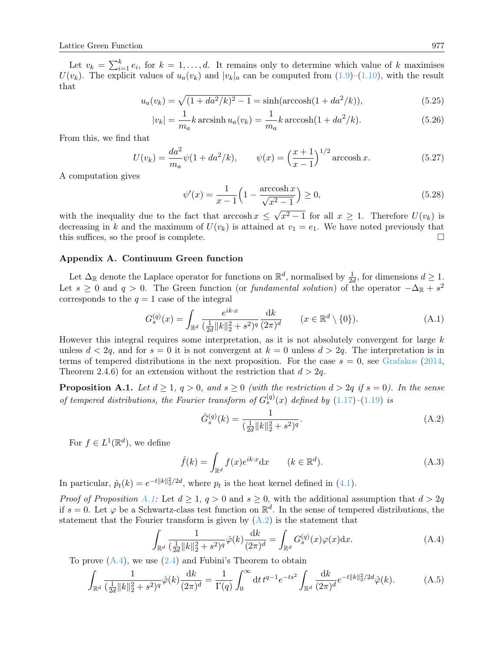Let  $v_k = \sum_{i=1}^k e_i$ , for  $k = 1, ..., d$ . It remains only to determine which value of k maximises  $U(v_k)$ . The explicit values of  $u_a(v_k)$  and  $|v_k|_a$  can be computed from  $(1.9)$ – $(1.10)$ , with the result that

$$
u_a(v_k) = \sqrt{(1 + da^2/k)^2 - 1} = \sinh(\arccosh(1 + da^2/k)),\tag{5.25}
$$

$$
|v_k| = \frac{1}{m_a} k \arcsin( u_a(v_k) = \frac{1}{m_a} k \arccosh(1 + da^2 / k).
$$
 (5.26)

From this, we find that

$$
U(v_k) = \frac{da^2}{m_a}\psi(1 + da^2/k), \qquad \psi(x) = \left(\frac{x+1}{x-1}\right)^{1/2} \operatorname{arccosh} x.
$$
 (5.27)

A computation gives

$$
\psi'(x) = \frac{1}{x - 1} \left( 1 - \frac{\arccosh x}{\sqrt{x^2 - 1}} \right) \ge 0,
$$
\n(5.28)

with the inequality due to the fact that  $\arccosh x \leq$  $x^2-1$  for all  $x \geq 1$ . Therefore  $U(v_k)$  is decreasing in k and the maximum of  $U(v_k)$  is attained at  $v_1 = e_1$ . We have noted previously that this suffices, so the proof is complete.

### <span id="page-20-0"></span>Appendix A. Continuum Green function

Let  $\Delta_{\mathbb{R}}$  denote the Laplace operator for functions on  $\mathbb{R}^d$ , normalised by  $\frac{1}{2d}$ , for dimensions  $d \geq 1$ . Let  $s \geq 0$  and  $q > 0$ . The Green function (or *fundamental solution*) of the operator  $-\Delta_{\mathbb{R}} + s^2$ corresponds to the  $q = 1$  case of the integral

$$
G_s^{(q)}(x) = \int_{\mathbb{R}^d} \frac{e^{ik \cdot x}}{(\frac{1}{2d} ||k||_2^2 + s^2)^q} \frac{dk}{(2\pi)^d} \qquad (x \in \mathbb{R}^d \setminus \{0\}).
$$
 (A.1)

However this integral requires some interpretation, as it is not absolutely convergent for large  $k$ unless  $d < 2q$ , and for  $s = 0$  it is not convergent at  $k = 0$  unless  $d > 2q$ . The interpretation is in terms of tempered distributions in the next proposition. For the case  $s = 0$ , see [Grafakos](#page-23-21) [\(2014,](#page-23-21) Theorem 2.4.6) for an extension without the restriction that  $d > 2q$ .

<span id="page-20-1"></span>**Proposition A.1.** Let  $d \geq 1$ ,  $q > 0$ , and  $s \geq 0$  (with the restriction  $d > 2q$  if  $s = 0$ ). In the sense of tempered distributions, the Fourier transform of  $G_s^{(q)}(x)$  defined by  $(1.17)$ – $(1.19)$  is

<span id="page-20-2"></span>
$$
\hat{G}_s^{(q)}(k) = \frac{1}{\left(\frac{1}{2d} \|k\|_2^2 + s^2\right)^q}.
$$
\n(A.2)

For  $f \in L^1(\mathbb{R}^d)$ , we define

<span id="page-20-4"></span>
$$
\hat{f}(k) = \int_{\mathbb{R}^d} f(x)e^{ik \cdot x} dx \qquad (k \in \mathbb{R}^d). \tag{A.3}
$$

In particular,  $\hat{p}_t(k) = e^{-t||k||_2^2/2d}$ , where  $p_t$  is the heat kernel defined in [\(4.1\)](#page-15-4).

*Proof of Proposition [A.1:](#page-20-1)* Let  $d \geq 1, q > 0$  and  $s \geq 0$ , with the additional assumption that  $d > 2q$ if  $s = 0$ . Let  $\varphi$  be a Schwartz-class test function on  $\mathbb{R}^d$ . In the sense of tempered distributions, the statement that the Fourier transform is given by  $(A.2)$  is the statement that

<span id="page-20-3"></span>
$$
\int_{\mathbb{R}^d} \frac{1}{(\frac{1}{2d}||k||_2^2 + s^2)^q} \hat{\varphi}(k) \frac{\mathrm{d}k}{(2\pi)^d} = \int_{\mathbb{R}^d} G_s^{(q)}(x) \varphi(x) \mathrm{d}x. \tag{A.4}
$$

To prove  $(A.4)$ , we use  $(2.4)$  and Fubini's Theorem to obtain

$$
\int_{\mathbb{R}^d} \frac{1}{(\frac{1}{2d} \|k\|_2^2 + s^2)^q} \hat{\varphi}(k) \frac{\mathrm{d}k}{(2\pi)^d} = \frac{1}{\Gamma(q)} \int_0^\infty \mathrm{d}t \, t^{q-1} e^{-ts^2} \int_{\mathbb{R}^d} \frac{\mathrm{d}k}{(2\pi)^d} e^{-t \|k\|_2^2 / 2d} \hat{\varphi}(k). \tag{A.5}
$$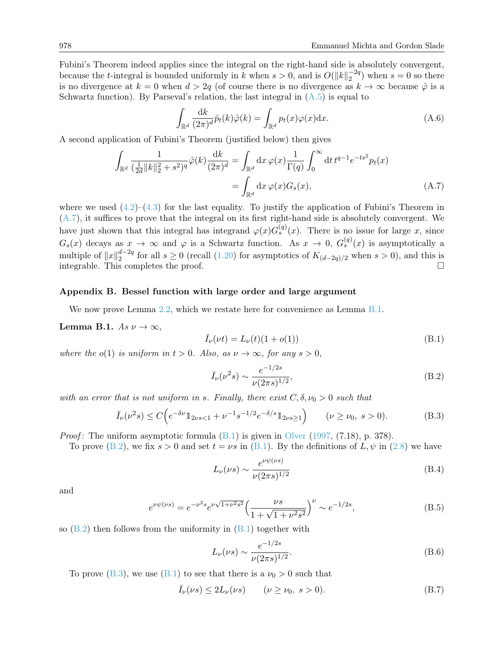Fubini's Theorem indeed applies since the integral on the right-hand side is absolutely convergent, because the *t*-integral is bounded uniformly in k when  $s > 0$ , and is  $O(||k||_2^{-2q}$  $2^{2q}$ ) when  $s = 0$  so there is no divergence at  $k = 0$  when  $d > 2q$  (of course there is no divergence as  $k \to \infty$  because  $\hat{\varphi}$  is a Schwartz function). By Parseval's relation, the last integral in  $(A.5)$  is equal to

<span id="page-21-1"></span>
$$
\int_{\mathbb{R}^d} \frac{\mathrm{d}k}{(2\pi)^d} \hat{p}_t(k) \hat{\varphi}(k) = \int_{\mathbb{R}^d} p_t(x) \varphi(x) \mathrm{d}x. \tag{A.6}
$$

A second application of Fubini's Theorem (justified below) then gives

$$
\int_{\mathbb{R}^d} \frac{1}{(\frac{1}{2d} \|k\|_2^2 + s^2)^q} \hat{\varphi}(k) \frac{dk}{(2\pi)^d} = \int_{\mathbb{R}^d} dx \, \varphi(x) \frac{1}{\Gamma(q)} \int_0^\infty dt \, t^{q-1} e^{-ts^2} p_t(x)
$$
\n
$$
= \int_{\mathbb{R}^d} dx \, \varphi(x) G_s(x), \tag{A.7}
$$

where we used  $(4.2)$ – $(4.3)$  for the last equality. To justify the application of Fubini's Theorem in [\(A.7\)](#page-21-1), it suffices to prove that the integral on its first right-hand side is absolutely convergent. We have just shown that this integral has integrand  $\varphi(x)G_s^{(q)}(x)$ . There is no issue for large x, since  $G_s(x)$  decays as  $x \to \infty$  and  $\varphi$  is a Schwartz function. As  $x \to 0$ ,  $G_s^{(q)}(x)$  is asymptotically a multiple of  $||x||_2^{d-2q}$  $a^{-2q}$  for all  $s \ge 0$  (recall [\(1.20\)](#page-4-7) for asymptotics of  $K_{(d-2q)/2}$  when  $s > 0$ ), and this is integrable. This completes the proof.

## <span id="page-21-0"></span>Appendix B. Bessel function with large order and large argument

We now prove Lemma [2.2,](#page-9-9) which we restate here for convenience as Lemma [B.1.](#page-21-2)

<span id="page-21-2"></span>Lemma B.1. As  $\nu \to \infty$ ,

<span id="page-21-3"></span>
$$
\bar{I}_{\nu}(\nu t) = L_{\nu}(t)(1 + o(1))
$$
\n(B.1)

where the o(1) is uniform in  $t > 0$ . Also, as  $\nu \to \infty$ , for any  $s > 0$ ,

<span id="page-21-4"></span>
$$
\bar{I}_{\nu}(\nu^2 s) \sim \frac{e^{-1/2s}}{\nu(2\pi s)^{1/2}},\tag{B.2}
$$

with an error that is not uniform in s. Finally, there exist  $C, \delta, \nu_0 > 0$  such that

$$
\bar{I}_{\nu}(\nu^{2}s) \le C\Big(e^{-\delta\nu}\mathbb{1}_{2\nu s<1} + \nu^{-1}s^{-1/2}e^{-\delta/s}\mathbb{1}_{2\nu s\ge1}\Big) \qquad (\nu \geq \nu_{0}, \ s > 0). \tag{B.3}
$$

*Proof*: The uniform asymptotic formula  $(B.1)$  is given in [Olver](#page-23-20) [\(1997,](#page-23-20) (7.18), p. 378).

To prove [\(B.2\)](#page-21-4), we fix  $s > 0$  and set  $t = \nu s$  in [\(B.1\)](#page-21-3). By the definitions of  $L, \psi$  in [\(2.8\)](#page-9-5) we have

<span id="page-21-5"></span>
$$
L_{\nu}(\nu s) \sim \frac{e^{\nu \psi(\nu s)}}{\nu (2\pi s)^{1/2}}\tag{B.4}
$$

and

$$
e^{\nu\psi(\nu s)} = e^{-\nu^2 s} e^{\nu\sqrt{1+\nu^2 s^2}} \left(\frac{\nu s}{1+\sqrt{1+\nu^2 s^2}}\right)^{\nu} \sim e^{-1/2s},\tag{B.5}
$$

so  $(B.2)$  then follows from the uniformity in  $(B.1)$  together with

$$
L_{\nu}(\nu s) \sim \frac{e^{-1/2s}}{\nu (2\pi s)^{1/2}}.
$$
\n(B.6)

To prove  $(B.3)$ , we use  $(B.1)$  to see that there is a  $\nu_0 > 0$  such that

$$
\bar{I}_{\nu}(\nu s) \le 2L_{\nu}(\nu s) \qquad (\nu \ge \nu_0, \ s > 0). \tag{B.7}
$$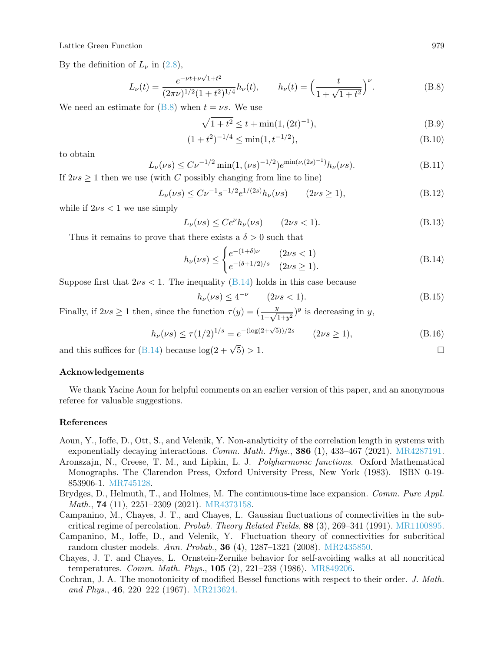By the definition of  $L_{\nu}$  in [\(2.8\)](#page-9-5),

$$
L_{\nu}(t) = \frac{e^{-\nu t + \nu\sqrt{1+t^2}}}{(2\pi\nu)^{1/2}(1+t^2)^{1/4}}h_{\nu}(t), \qquad h_{\nu}(t) = \left(\frac{t}{1+\sqrt{1+t^2}}\right)^{\nu}.
$$
 (B.8)

We need an estimate for  $(B.8)$  when  $t = \nu s$ . We use

<span id="page-22-7"></span>
$$
\sqrt{1+t^2} \le t + \min(1, (2t)^{-1}),\tag{B.9}
$$

$$
(1+t^2)^{-1/4} \le \min(1, t^{-1/2}),\tag{B.10}
$$

to obtain

$$
L_{\nu}(\nu s) \le C\nu^{-1/2} \min(1, (\nu s)^{-1/2}) e^{\min(\nu, (2s)^{-1})} h_{\nu}(\nu s). \tag{B.11}
$$

If  $2\nu s \geq 1$  then we use (with C possibly changing from line to line)

$$
L_{\nu}(\nu s) \le C\nu^{-1} s^{-1/2} e^{1/(2s)} h_{\nu}(\nu s) \qquad (2\nu s \ge 1), \tag{B.12}
$$

while if  $2\nu s < 1$  we use simply

$$
L_{\nu}(\nu s) \le Ce^{\nu}h_{\nu}(\nu s) \qquad (2\nu s < 1). \tag{B.13}
$$

Thus it remains to prove that there exists a  $\delta > 0$  such that

<span id="page-22-8"></span>
$$
h_{\nu}(\nu s) \le \begin{cases} e^{-(1+\delta)\nu} & (2\nu s < 1) \\ e^{-(\delta+1/2)/s} & (2\nu s \ge 1). \end{cases}
$$
 (B.14)

Suppose first that  $2\nu s < 1$ . The inequality [\(B.14\)](#page-22-8) holds in this case because

$$
h_{\nu}(\nu s) \le 4^{-\nu} \qquad (2\nu s < 1). \tag{B.15}
$$

Finally, if  $2\nu s \ge 1$  then, since the function  $\tau(y) = (\frac{y}{1+\sqrt{1+y^2}})^y$  is decreasing in y,

$$
h_{\nu}(\nu s) \le \tau (1/2)^{1/s} = e^{-(\log(2+\sqrt{5}))/2s} \qquad (2\nu s \ge 1),
$$
\n(B.16)

and this suffices for [\(B.14\)](#page-22-8) because  $\log(2+\sqrt{5}) > 1$ .

# Acknowledgements

We thank Yacine Aoun for helpful comments on an earlier version of this paper, and an anonymous referee for valuable suggestions.

## References

- <span id="page-22-4"></span>Aoun, Y., Ioffe, D., Ott, S., and Velenik, Y. Non-analyticity of the correlation length in systems with exponentially decaying interactions. Comm. Math. Phys., 386 (1), 433–467 (2021). [MR4287191.](http://www.ams.org/mathscinet-getitem?mr=MR4287191)
- <span id="page-22-3"></span>Aronszajn, N., Creese, T. M., and Lipkin, L. J. Polyharmonic functions. Oxford Mathematical Monographs. The Clarendon Press, Oxford University Press, New York (1983). ISBN 0-19- 853906-1. [MR745128.](http://www.ams.org/mathscinet-getitem?mr=MR745128)
- <span id="page-22-5"></span>Brydges, D., Helmuth, T., and Holmes, M. The continuous-time lace expansion. Comm. Pure Appl. Math., 74 (11), 2251–2309 (2021). [MR4373158.](http://www.ams.org/mathscinet-getitem?mr=MR4373158)
- <span id="page-22-2"></span>Campanino, M., Chayes, J. T., and Chayes, L. Gaussian fluctuations of connectivities in the subcritical regime of percolation. Probab. Theory Related Fields,  $88$  (3), 269–341 (1991). [MR1100895.](http://www.ams.org/mathscinet-getitem?mr=MR1100895)
- <span id="page-22-0"></span>Campanino, M., Ioffe, D., and Velenik, Y. Fluctuation theory of connectivities for subcritical random cluster models. Ann. Probab., 36 (4), 1287–1321 (2008). [MR2435850.](http://www.ams.org/mathscinet-getitem?mr=MR2435850)
- <span id="page-22-1"></span>Chayes, J. T. and Chayes, L. Ornstein-Zernike behavior for self-avoiding walks at all noncritical temperatures. Comm. Math. Phys., 105 (2), 221–238 (1986). [MR849206.](http://www.ams.org/mathscinet-getitem?mr=MR849206)
- <span id="page-22-6"></span>Cochran, J. A. The monotonicity of modified Bessel functions with respect to their order. J. Math. and Phys., 46, 220–222 (1967). [MR213624.](http://www.ams.org/mathscinet-getitem?mr=MR213624)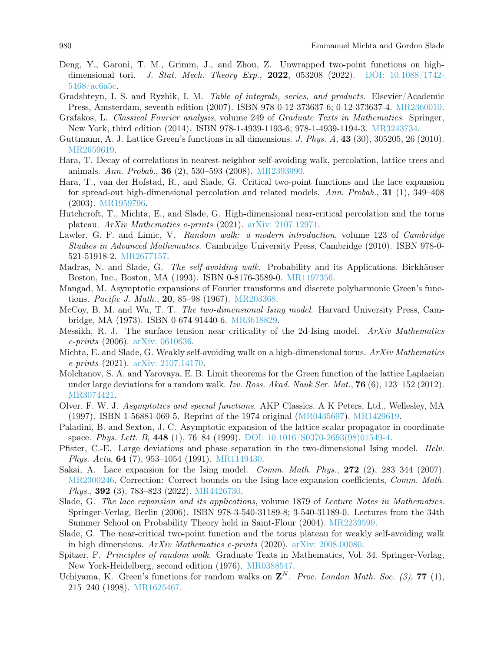- <span id="page-23-15"></span>Deng, Y., Garoni, T. M., Grimm, J., and Zhou, Z. Unwrapped two-point functions on highdimensional tori. J. Stat. Mech. Theory Exp., 2022, 053208 (2022). DOI:  $10.1088/1742$ [5468/ac6a5c.](http://dx.doi.org/10.1088/1742-5468/ac6a5c)
- <span id="page-23-19"></span>Gradshteyn, I. S. and Ryzhik, I. M. Table of integrals, series, and products. Elsevier/Academic Press, Amsterdam, seventh edition (2007). ISBN 978-0-12-373637-6; 0-12-373637-4. [MR2360010.](http://www.ams.org/mathscinet-getitem?mr=MR2360010)
- <span id="page-23-21"></span>Grafakos, L. Classical Fourier analysis, volume 249 of Graduate Texts in Mathematics. Springer, New York, third edition (2014). ISBN 978-1-4939-1193-6; 978-1-4939-1194-3. [MR3243734.](http://www.ams.org/mathscinet-getitem?mr=MR3243734)
- <span id="page-23-0"></span>Guttmann, A. J. Lattice Green's functions in all dimensions. J. Phys. A, 43 (30), 305205, 26 (2010). [MR2659619.](http://www.ams.org/mathscinet-getitem?mr=MR2659619)
- <span id="page-23-5"></span>Hara, T. Decay of correlations in nearest-neighbor self-avoiding walk, percolation, lattice trees and animals. Ann. Probab., 36 (2), 530–593 (2008). [MR2393990.](http://www.ams.org/mathscinet-getitem?mr=MR2393990)
- <span id="page-23-4"></span>Hara, T., van der Hofstad, R., and Slade, G. Critical two-point functions and the lace expansion for spread-out high-dimensional percolation and related models. Ann. Probab., 31 (1), 349–408 (2003). [MR1959796.](http://www.ams.org/mathscinet-getitem?mr=MR1959796)
- <span id="page-23-9"></span>Hutchcroft, T., Michta, E., and Slade, G. High-dimensional near-critical percolation and the torus plateau. ArXiv Mathematics e-prints (2021). [arXiv: 2107.12971.](http://arxiv.org/abs/2107.12971)
- <span id="page-23-2"></span>Lawler, G. F. and Limic, V. Random walk: a modern introduction, volume 123 of Cambridge Studies in Advanced Mathematics. Cambridge University Press, Cambridge (2010). ISBN 978-0- 521-51918-2. [MR2677157.](http://www.ams.org/mathscinet-getitem?mr=MR2677157)
- <span id="page-23-1"></span>Madras, N. and Slade, G. The self-avoiding walk. Probability and its Applications. Birkhäuser Boston, Inc., Boston, MA (1993). ISBN 0-8176-3589-0. [MR1197356.](http://www.ams.org/mathscinet-getitem?mr=MR1197356)
- <span id="page-23-16"></span>Mangad, M. Asymptotic expansions of Fourier transforms and discrete polyharmonic Green's functions. *Pacific J. Math.*, **20**, 85–98 (1967). [MR203368.](http://www.ams.org/mathscinet-getitem?mr=MR203368)
- <span id="page-23-10"></span>McCoy, B. M. and Wu, T. T. The two-dimensional Ising model. Harvard University Press, Cambridge, MA (1973). ISBN 0-674-91440-6. [MR3618829.](http://www.ams.org/mathscinet-getitem?mr=MR3618829)
- <span id="page-23-13"></span>Messikh, R. J. The surface tension near criticality of the 2d-Ising model. ArXiv Mathematics e-prints (2006). [arXiv: 0610636.](http://arxiv.org/abs/0610636)
- <span id="page-23-7"></span>Michta, E. and Slade, G. Weakly self-avoiding walk on a high-dimensional torus. ArXiv Mathematics e-prints (2021). [arXiv: 2107.14170.](http://arxiv.org/abs/2107.14170)
- <span id="page-23-12"></span>Molchanov, S. A. and Yarovaya, E. B. Limit theorems for the Green function of the lattice Laplacian under large deviations for a random walk. Izv. Ross. Akad. Nauk Ser. Mat., **76** (6),  $123-152$  (2012). [MR3074421.](http://www.ams.org/mathscinet-getitem?mr=MR3074421)
- <span id="page-23-20"></span>Olver, F. W. J. Asymptotics and special functions. AKP Classics. A K Peters, Ltd., Wellesley, MA (1997). ISBN 1-56881-069-5. Reprint of the 1974 original [\(MR0435697\)](http://www.ams.org/mathscinet-getitem?mr=MR0435697). [MR1429619.](http://www.ams.org/mathscinet-getitem?mr=MR1429619)
- <span id="page-23-14"></span>Paladini, B. and Sexton, J. C. Asymptotic expansion of the lattice scalar propagator in coordinate space. Phys. Lett. B, 448 (1), 76–84 (1999). [DOI: 10.1016/S0370-2693\(98\)01549-4.](http://dx.doi.org/10.1016/S0370-2693(98)01549-4)
- <span id="page-23-11"></span>Pfister, C.-E. Large deviations and phase separation in the two-dimensional Ising model. Helv. Phys. Acta, 64 (7), 953–1054 (1991). [MR1149430.](http://www.ams.org/mathscinet-getitem?mr=MR1149430)
- <span id="page-23-6"></span>Sakai, A. Lace expansion for the Ising model. *Comm. Math. Phys.*, **272** (2), 283-344 (2007). [MR2300246.](http://www.ams.org/mathscinet-getitem?mr=MR2300246) Correction: Correct bounds on the Ising lace-expansion coefficients, Comm. Math. Phys., 392 (3), 783–823 (2022). [MR4426730.](http://www.ams.org/mathscinet-getitem?mr=MR4426730)
- <span id="page-23-3"></span>Slade, G. The lace expansion and its applications, volume 1879 of Lecture Notes in Mathematics. Springer-Verlag, Berlin (2006). ISBN 978-3-540-31189-8; 3-540-31189-0. Lectures from the 34th Summer School on Probability Theory held in Saint-Flour (2004). [MR2239599.](http://www.ams.org/mathscinet-getitem?mr=MR2239599)
- <span id="page-23-8"></span>Slade, G. The near-critical two-point function and the torus plateau for weakly self-avoiding walk in high dimensions. ArXiv Mathematics e-prints (2020). [arXiv: 2008.00080.](http://arxiv.org/abs/2008.00080)
- <span id="page-23-17"></span>Spitzer, F. *Principles of random walk*. Graduate Texts in Mathematics, Vol. 34. Springer-Verlag, New York-Heidelberg, second edition (1976). [MR0388547.](http://www.ams.org/mathscinet-getitem?mr=MR0388547)
- <span id="page-23-18"></span>Uchiyama, K. Green's functions for random walks on  $\mathbb{Z}^N$ . Proc. London Math. Soc. (3), 77 (1), 215–240 (1998). [MR1625467.](http://www.ams.org/mathscinet-getitem?mr=MR1625467)